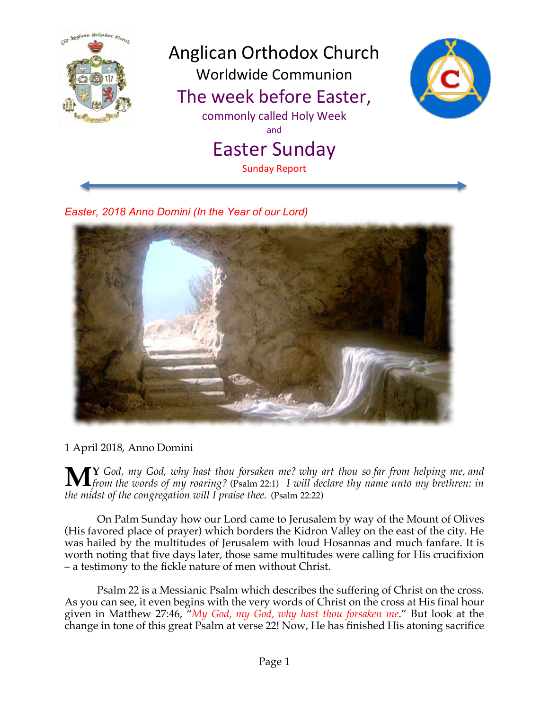

*Easter, 2018 Anno Domini (In the Year of our Lord)*



1 April 2018, Anno Domini

**Y** *God, my God, why hast thou forsaken me? why art thou so far from helping me, and ffrom the words of my roaring?* (Psalm 22:1) *I will declare thy name unto my brethren: in*  $\frac{d}{dx}$  *non-ing in the words of my roaring?* (Psalm 22:1) *I will declare thy name unto my brethren: in the midst of the congregation will I praise thee.* (Psalm 22:22)

On Palm Sunday how our Lord came to Jerusalem by way of the Mount of Olives (His favored place of prayer) which borders the Kidron Valley on the east of the city. He was hailed by the multitudes of Jerusalem with loud Hosannas and much fanfare. It is worth noting that five days later, those same multitudes were calling for His crucifixion – a testimony to the fickle nature of men without Christ.

Psalm 22 is a Messianic Psalm which describes the suffering of Christ on the cross. As you can see, it even begins with the very words of Christ on the cross at His final hour given in Matthew 27:46, "*My God, my God, why hast thou forsaken me*." But look at the change in tone of this great Psalm at verse 22! Now, He has finished His atoning sacrifice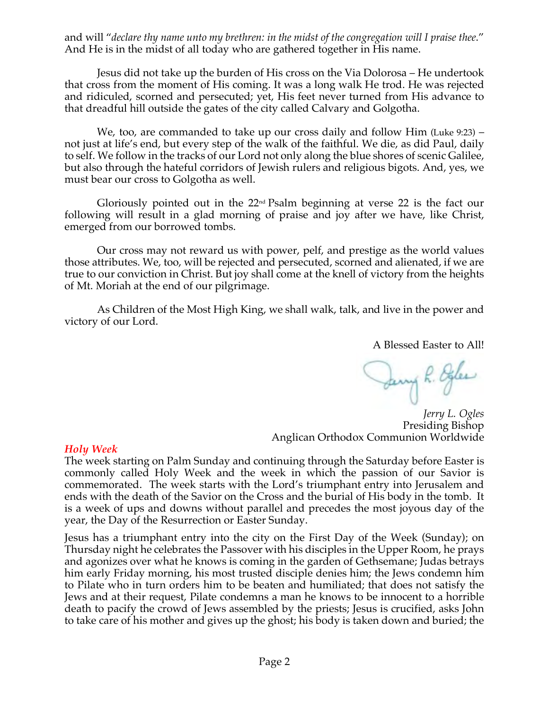and will "*declare thy name unto my brethren: in the midst of the congregation will I praise thee*." And He is in the midst of all today who are gathered together in His name.

Jesus did not take up the burden of His cross on the Via Dolorosa – He undertook that cross from the moment of His coming. It was a long walk He trod. He was rejected and ridiculed, scorned and persecuted; yet, His feet never turned from His advance to that dreadful hill outside the gates of the city called Calvary and Golgotha.

We, too, are commanded to take up our cross daily and follow Him (Luke 9:23) – not just at life's end, but every step of the walk of the faithful. We die, as did Paul, daily to self. We follow in the tracks of our Lord not only along the blue shores of scenic Galilee, but also through the hateful corridors of Jewish rulers and religious bigots. And, yes, we must bear our cross to Golgotha as well.

Gloriously pointed out in the  $22<sup>nd</sup>$  Psalm beginning at verse 22 is the fact our following will result in a glad morning of praise and joy after we have, like Christ, emerged from our borrowed tombs.

Our cross may not reward us with power, pelf, and prestige as the world values those attributes. We, too, will be rejected and persecuted, scorned and alienated, if we are true to our conviction in Christ. But joy shall come at the knell of victory from the heights of Mt. Moriah at the end of our pilgrimage.

As Children of the Most High King, we shall walk, talk, and live in the power and victory of our Lord.

A Blessed Easter to All!

Jany R. Egles

*Jerry L. Ogles* Presiding Bishop Anglican Orthodox Communion Worldwide

## *Holy Week*

The week starting on Palm Sunday and continuing through the Saturday before Easter is commonly called Holy Week and the week in which the passion of our Savior is commemorated. The week starts with the Lord's triumphant entry into Jerusalem and ends with the death of the Savior on the Cross and the burial of His body in the tomb. It is a week of ups and downs without parallel and precedes the most joyous day of the year, the Day of the Resurrection or Easter Sunday.

Jesus has a triumphant entry into the city on the First Day of the Week (Sunday); on Thursday night he celebrates the Passover with his disciples in the Upper Room, he prays and agonizes over what he knows is coming in the garden of Gethsemane; Judas betrays him early Friday morning, his most trusted disciple denies him; the Jews condemn him to Pilate who in turn orders him to be beaten and humiliated; that does not satisfy the Jews and at their request, Pilate condemns a man he knows to be innocent to a horrible death to pacify the crowd of Jews assembled by the priests; Jesus is crucified, asks John to take care of his mother and gives up the ghost; his body is taken down and buried; the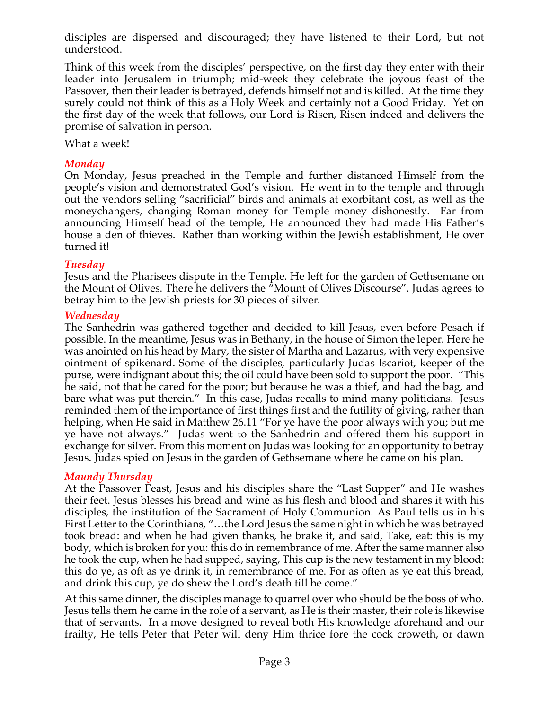disciples are dispersed and discouraged; they have listened to their Lord, but not understood.

Think of this week from the disciples' perspective, on the first day they enter with their leader into Jerusalem in triumph; mid-week they celebrate the joyous feast of the Passover, then their leader is betrayed, defends himself not and is killed. At the time they surely could not think of this as a Holy Week and certainly not a Good Friday. Yet on the first day of the week that follows, our Lord is Risen, Risen indeed and delivers the promise of salvation in person.

What a week!

# *Monday*

On Monday, Jesus preached in the Temple and further distanced Himself from the people's vision and demonstrated God's vision. He went in to the temple and through out the vendors selling "sacrificial" birds and animals at exorbitant cost, as well as the moneychangers, changing Roman money for Temple money dishonestly. Far from announcing Himself head of the temple, He announced they had made His Father's house a den of thieves. Rather than working within the Jewish establishment, He over turned it!

# *Tuesday*

Jesus and the Pharisees dispute in the Temple. He left for the garden of Gethsemane on the Mount of Olives. There he delivers the "Mount of Olives Discourse". Judas agrees to betray him to the Jewish priests for 30 pieces of silver.

# *Wednesday*

The Sanhedrin was gathered together and decided to kill Jesus, even before Pesach if possible. In the meantime, Jesus was in Bethany, in the house of Simon the leper. Here he was anointed on his head by Mary, the sister of Martha and Lazarus, with very expensive ointment of spikenard. Some of the disciples, particularly Judas Iscariot, keeper of the purse, were indignant about this; the oil could have been sold to support the poor. "This he said, not that he cared for the poor; but because he was a thief, and had the bag, and bare what was put therein." In this case, Judas recalls to mind many politicians. Jesus reminded them of the importance of first things first and the futility of giving, rather than helping, when He said in Matthew 26.11 "For ye have the poor always with you; but me ye have not always." Judas went to the Sanhedrin and offered them his support in exchange for silver. From this moment on Judas was looking for an opportunity to betray Jesus. Judas spied on Jesus in the garden of Gethsemane where he came on his plan.

# *Maundy Thursday*

At the Passover Feast, Jesus and his disciples share the "Last Supper" and He washes their feet. Jesus blesses his bread and wine as his flesh and blood and shares it with his disciples, the institution of the Sacrament of Holy Communion. As Paul tells us in his First Letter to the Corinthians, "…the Lord Jesus the same night in which he was betrayed took bread: and when he had given thanks, he brake it, and said, Take, eat: this is my body, which is broken for you: this do in remembrance of me. After the same manner also he took the cup, when he had supped, saying, This cup is the new testament in my blood: this do ye, as oft as ye drink it, in remembrance of me. For as often as ye eat this bread, and drink this cup, ye do shew the Lord's death till he come."

At this same dinner, the disciples manage to quarrel over who should be the boss of who. Jesus tells them he came in the role of a servant, as He is their master, their role is likewise that of servants. In a move designed to reveal both His knowledge aforehand and our frailty, He tells Peter that Peter will deny Him thrice fore the cock croweth, or dawn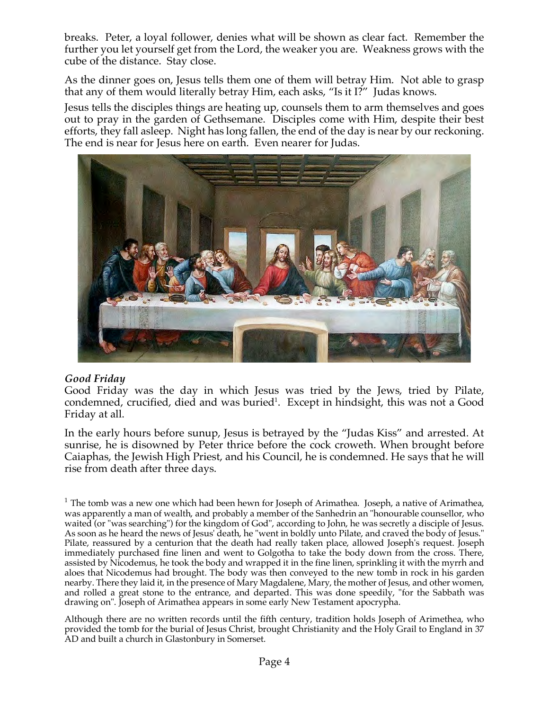breaks. Peter, a loyal follower, denies what will be shown as clear fact. Remember the further you let yourself get from the Lord, the weaker you are. Weakness grows with the cube of the distance. Stay close.

As the dinner goes on, Jesus tells them one of them will betray Him. Not able to grasp that any of them would literally betray Him, each asks, "Is it I?" Judas knows.

Jesus tells the disciples things are heating up, counsels them to arm themselves and goes out to pray in the garden of Gethsemane. Disciples come with Him, despite their best efforts, they fall asleep. Night has long fallen, the end of the day is near by our reckoning. The end is near for Jesus here on earth. Even nearer for Judas.



## *Good Friday*

Good Friday was the day in which Jesus was tried by the Jews, tried by Pilate, condemned, crucified, died and was buried<sup>1</sup>. Except in hindsight, this was not a Good Friday at all.

In the early hours before sunup, Jesus is betrayed by the "Judas Kiss" and arrested. At sunrise, he is disowned by Peter thrice before the cock croweth. When brought before Caiaphas, the Jewish High Priest, and his Council, he is condemned. He says that he will rise from death after three days.

<sup>1</sup> The tomb was a new one which had been hewn for Joseph of Arimathea. Joseph, a native of Arimathea, was apparently a man of wealth, and probably a member of the Sanhedrin an "honourable counsellor, who waited (or "was searching") for the kingdom of God", according to John, he was secretly a disciple of Jesus. As soon as he heard the news of Jesus' death, he "went in boldly unto Pilate, and craved the body of Jesus." Pilate, reassured by a centurion that the death had really taken place, allowed Joseph's request. Joseph immediately purchased fine linen and went to Golgotha to take the body down from the cross. There, assisted by Nicodemus, he took the body and wrapped it in the fine linen, sprinkling it with the myrrh and aloes that Nicodemus had brought. The body was then conveyed to the new tomb in rock in his garden nearby. There they laid it, in the presence of Mary Magdalene, Mary, the mother of Jesus, and other women, and rolled a great stone to the entrance, and departed. This was done speedily, "for the Sabbath was drawing on". Joseph of Arimathea appears in some early New Testament apocrypha.

Although there are no written records until the fifth century, tradition holds Joseph of Arimethea, who provided the tomb for the burial of Jesus Christ, brought Christianity and the Holy Grail to England in 37 AD and built a church in Glastonbury in Somerset.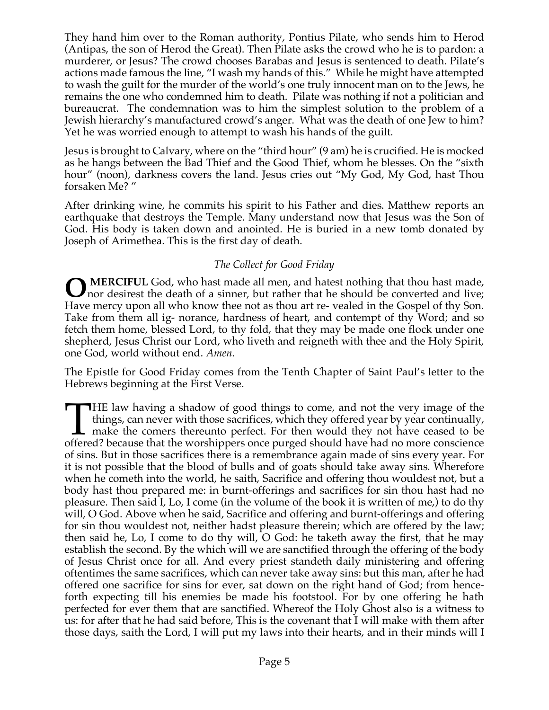They hand him over to the Roman authority, Pontius Pilate, who sends him to Herod (Antipas, the son of Herod the Great). Then Pilate asks the crowd who he is to pardon: a murderer, or Jesus? The crowd chooses Barabas and Jesus is sentenced to death. Pilate's actions made famous the line, "I wash my hands of this." While he might have attempted to wash the guilt for the murder of the world's one truly innocent man on to the Jews, he remains the one who condemned him to death. Pilate was nothing if not a politician and bureaucrat. The condemnation was to him the simplest solution to the problem of a Jewish hierarchy's manufactured crowd's anger. What was the death of one Jew to him? Yet he was worried enough to attempt to wash his hands of the guilt.

Jesus is brought to Calvary, where on the "third hour" (9 am) he is crucified. He is mocked as he hangs between the Bad Thief and the Good Thief, whom he blesses. On the "sixth hour" (noon), darkness covers the land. Jesus cries out "My God, My God, hast Thou forsaken Me? "

After drinking wine, he commits his spirit to his Father and dies. Matthew reports an earthquake that destroys the Temple. Many understand now that Jesus was the Son of God. His body is taken down and anointed. He is buried in a new tomb donated by Joseph of Arimethea. This is the first day of death.

# *The Collect for Good Friday*

**MERCIFUL** God, who hast made all men, and hatest nothing that thou hast made, nor desirest the death of a sinner, but rather that he should be converted and live; Have mercy upon all who know thee not as thou art re- vealed in the Gospel of thy Son. Take from them all ig- norance, hardness of heart, and contempt of thy Word; and so fetch them home, blessed Lord, to thy fold, that they may be made one flock under one shepherd, Jesus Christ our Lord, who liveth and reigneth with thee and the Holy Spirit, one God, world without end. *Amen*. **O**

The Epistle for Good Friday comes from the Tenth Chapter of Saint Paul's letter to the Hebrews beginning at the First Verse.

HE law having a shadow of good things to come, and not the very image of the things, can never with those sacrifices, which they offered year by year continually, make the comers thereunto perfect. For then would they not have ceased to be THE law having a shadow of good things to come, and not the very image of the things, can never with those sacrifices, which they offered year by year continually, make the comers thereunto perfect. For then would they not of sins. But in those sacrifices there is a remembrance again made of sins every year. For it is not possible that the blood of bulls and of goats should take away sins. Wherefore when he cometh into the world, he saith, Sacrifice and offering thou wouldest not, but a body hast thou prepared me: in burnt-offerings and sacrifices for sin thou hast had no pleasure. Then said I, Lo, I come (in the volume of the book it is written of me,) to do thy will, O God. Above when he said, Sacrifice and offering and burnt-offerings and offering for sin thou wouldest not, neither hadst pleasure therein; which are offered by the law; then said he, Lo, I come to do thy will, O God: he taketh away the first, that he may establish the second. By the which will we are sanctified through the offering of the body of Jesus Christ once for all. And every priest standeth daily ministering and offering oftentimes the same sacrifices, which can never take away sins: but this man, after he had offered one sacrifice for sins for ever, sat down on the right hand of God; from henceforth expecting till his enemies be made his footstool. For by one offering he hath perfected for ever them that are sanctified. Whereof the Holy Ghost also is a witness to us: for after that he had said before, This is the covenant that I will make with them after those days, saith the Lord, I will put my laws into their hearts, and in their minds will I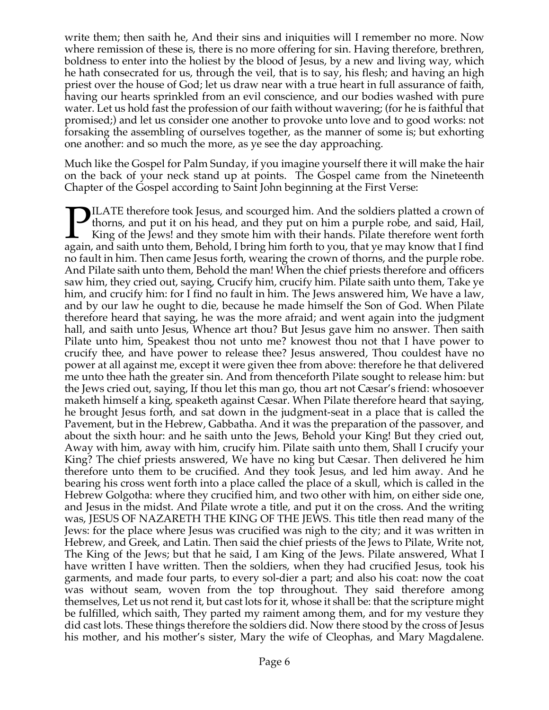write them; then saith he, And their sins and iniquities will I remember no more. Now where remission of these is, there is no more offering for sin. Having therefore, brethren, boldness to enter into the holiest by the blood of Jesus, by a new and living way, which he hath consecrated for us, through the veil, that is to say, his flesh; and having an high priest over the house of God; let us draw near with a true heart in full assurance of faith, having our hearts sprinkled from an evil conscience, and our bodies washed with pure water. Let us hold fast the profession of our faith without wavering; (for he is faithful that promised;) and let us consider one another to provoke unto love and to good works: not forsaking the assembling of ourselves together, as the manner of some is; but exhorting one another: and so much the more, as ye see the day approaching.

Much like the Gospel for Palm Sunday, if you imagine yourself there it will make the hair on the back of your neck stand up at points. The Gospel came from the Nineteenth Chapter of the Gospel according to Saint John beginning at the First Verse:

ILATE therefore took Jesus, and scourged him. And the soldiers platted a crown of thorns, and put it on his head, and they put on him a purple robe, and said, Hail, King of the Jews! and they smote him with their hands. Pilate therefore went forth **PILATE** therefore took Jesus, and scourged him. And the soldiers platted a crown of thorns, and put it on his head, and they put on him a purple robe, and said, Hail, King of the Jews! and they smote him with their hands. no fault in him. Then came Jesus forth, wearing the crown of thorns, and the purple robe. And Pilate saith unto them, Behold the man! When the chief priests therefore and officers saw him, they cried out, saying, Crucify him, crucify him. Pilate saith unto them, Take ye him, and crucify him: for I find no fault in him. The Jews answered him, We have a law, and by our law he ought to die, because he made himself the Son of God. When Pilate therefore heard that saying, he was the more afraid; and went again into the judgment hall, and saith unto Jesus, Whence art thou? But Jesus gave him no answer. Then saith Pilate unto him, Speakest thou not unto me? knowest thou not that I have power to crucify thee, and have power to release thee? Jesus answered, Thou couldest have no power at all against me, except it were given thee from above: therefore he that delivered me unto thee hath the greater sin. And from thenceforth Pilate sought to release him: but the Jews cried out, saying, If thou let this man go, thou art not Cæsar's friend: whosoever maketh himself a king, speaketh against Cæsar. When Pilate therefore heard that saying, he brought Jesus forth, and sat down in the judgment-seat in a place that is called the Pavement, but in the Hebrew, Gabbatha. And it was the preparation of the passover, and about the sixth hour: and he saith unto the Jews, Behold your King! But they cried out, Away with him, away with him, crucify him. Pilate saith unto them, Shall I crucify your King? The chief priests answered, We have no king but Cæsar. Then delivered he him therefore unto them to be crucified. And they took Jesus, and led him away. And he bearing his cross went forth into a place called the place of a skull, which is called in the Hebrew Golgotha: where they crucified him, and two other with him, on either side one, and Jesus in the midst. And Pilate wrote a title, and put it on the cross. And the writing was, JESUS OF NAZARETH THE KING OF THE JEWS. This title then read many of the Jews: for the place where Jesus was crucified was nigh to the city; and it was written in Hebrew, and Greek, and Latin. Then said the chief priests of the Jews to Pilate, Write not, The King of the Jews; but that he said, I am King of the Jews. Pilate answered, What I have written I have written. Then the soldiers, when they had crucified Jesus, took his garments, and made four parts, to every sol-dier a part; and also his coat: now the coat was without seam, woven from the top throughout. They said therefore among themselves, Let us not rend it, but cast lots for it, whose it shall be: that the scripture might be fulfilled, which saith, They parted my raiment among them, and for my vesture they did cast lots. These things therefore the soldiers did. Now there stood by the cross of Jesus his mother, and his mother's sister, Mary the wife of Cleophas, and Mary Magdalene.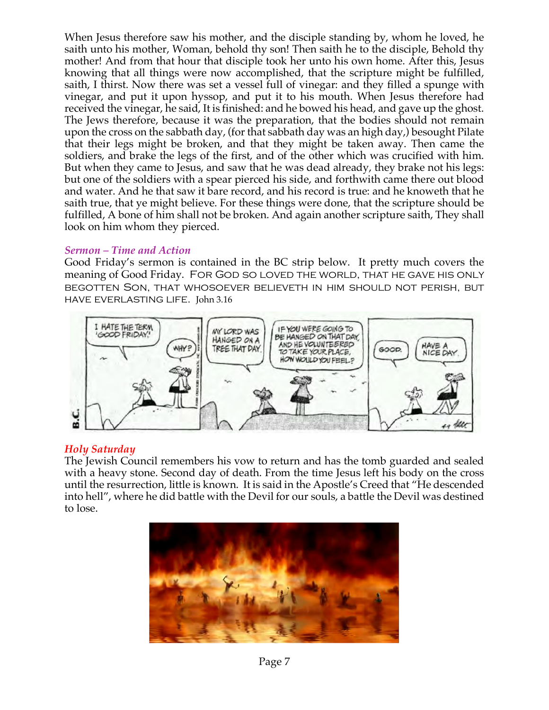When Jesus therefore saw his mother, and the disciple standing by, whom he loved, he saith unto his mother, Woman, behold thy son! Then saith he to the disciple, Behold thy mother! And from that hour that disciple took her unto his own home. After this, Jesus knowing that all things were now accomplished, that the scripture might be fulfilled, saith, I thirst. Now there was set a vessel full of vinegar: and they filled a spunge with vinegar, and put it upon hyssop, and put it to his mouth. When Jesus therefore had received the vinegar, he said, It is finished: and he bowed his head, and gave up the ghost. The Jews therefore, because it was the preparation, that the bodies should not remain upon the cross on the sabbath day, (for that sabbath day was an high day,) besought Pilate that their legs might be broken, and that they might be taken away. Then came the soldiers, and brake the legs of the first, and of the other which was crucified with him. But when they came to Jesus, and saw that he was dead already, they brake not his legs: but one of the soldiers with a spear pierced his side, and forthwith came there out blood and water. And he that saw it bare record, and his record is true: and he knoweth that he saith true, that ye might believe. For these things were done, that the scripture should be fulfilled, A bone of him shall not be broken. And again another scripture saith, They shall look on him whom they pierced.

## *Sermon – Time and Action*

Good Friday's sermon is contained in the BC strip below. It pretty much covers the meaning of Good Friday. FOR GOD SO LOVED THE WORLD, THAT HE GAVE HIS ONLY begotten Son, that whosoever believeth in him should not perish, but have everlasting life. John 3.16



# *Holy Saturday*

The Jewish Council remembers his vow to return and has the tomb guarded and sealed with a heavy stone. Second day of death. From the time Jesus left his body on the cross until the resurrection, little is known. It is said in the Apostle's Creed that "He descended into hell", where he did battle with the Devil for our souls, a battle the Devil was destined to lose.

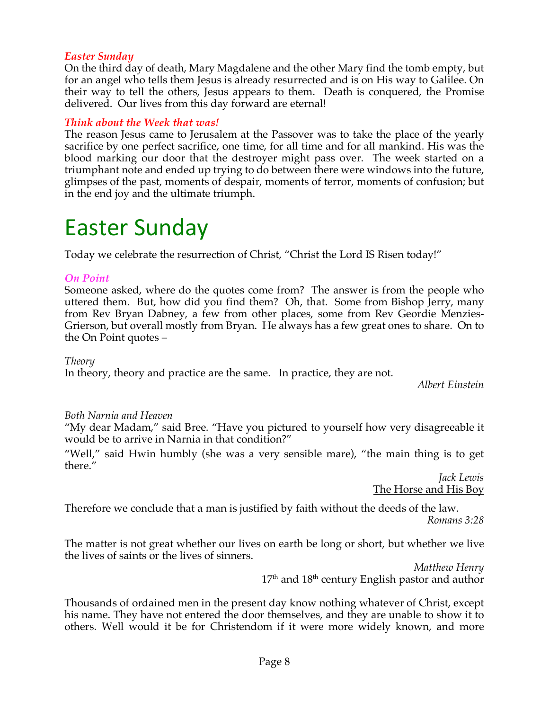# *Easter Sunday*

On the third day of death, Mary Magdalene and the other Mary find the tomb empty, but for an angel who tells them Jesus is already resurrected and is on His way to Galilee. On their way to tell the others, Jesus appears to them. Death is conquered, the Promise delivered. Our lives from this day forward are eternal!

# *Think about the Week that was!*

The reason Jesus came to Jerusalem at the Passover was to take the place of the yearly sacrifice by one perfect sacrifice, one time, for all time and for all mankind. His was the blood marking our door that the destroyer might pass over. The week started on a triumphant note and ended up trying to do between there were windows into the future, glimpses of the past, moments of despair, moments of terror, moments of confusion; but in the end joy and the ultimate triumph.

# Easter Sunday

Today we celebrate the resurrection of Christ, "Christ the Lord IS Risen today!"

## *On Point*

Someone asked, where do the quotes come from? The answer is from the people who uttered them. But, how did you find them? Oh, that. Some from Bishop Jerry, many from Rev Bryan Dabney, a few from other places, some from Rev Geordie Menzies-Grierson, but overall mostly from Bryan. He always has a few great ones to share. On to the On Point quotes –

*Theory*

In theory, theory and practice are the same. In practice, they are not.

*Albert Einstein*

*Both Narnia and Heaven*

"My dear Madam," said Bree. "Have you pictured to yourself how very disagreeable it would be to arrive in Narnia in that condition?"

"Well," said Hwin humbly (she was a very sensible mare), "the main thing is to get there."

*Jack Lewis* The Horse and His Boy

Therefore we conclude that a man is justified by faith without the deeds of the law. *Romans 3:28* 

The matter is not great whether our lives on earth be long or short, but whether we live the lives of saints or the lives of sinners.

> *Matthew Henry* 17<sup>th</sup> and 18<sup>th</sup> century English pastor and author

Thousands of ordained men in the present day know nothing whatever of Christ, except his name. They have not entered the door themselves, and they are unable to show it to others. Well would it be for Christendom if it were more widely known, and more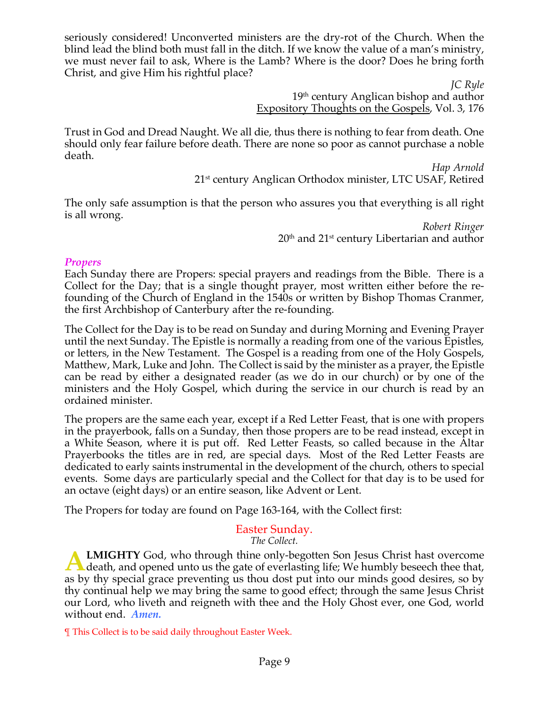seriously considered! Unconverted ministers are the dry-rot of the Church. When the blind lead the blind both must fall in the ditch. If we know the value of a man's ministry, we must never fail to ask, Where is the Lamb? Where is the door? Does he bring forth Christ, and give Him his rightful place?

> *JC Ryle* 19th century Anglican bishop and author Expository Thoughts on the Gospels, Vol. 3, 176

Trust in God and Dread Naught. We all die, thus there is nothing to fear from death. One should only fear failure before death. There are none so poor as cannot purchase a noble death.

> *Hap Arnold* 21st century Anglican Orthodox minister, LTC USAF, Retired

The only safe assumption is that the person who assures you that everything is all right is all wrong.

> *Robert Ringer* 20<sup>th</sup> and 21<sup>st</sup> century Libertarian and author

#### *Propers*

Each Sunday there are Propers: special prayers and readings from the Bible. There is a Collect for the Day; that is a single thought prayer, most written either before the refounding of the Church of England in the 1540s or written by Bishop Thomas Cranmer, the first Archbishop of Canterbury after the re-founding.

The Collect for the Day is to be read on Sunday and during Morning and Evening Prayer until the next Sunday. The Epistle is normally a reading from one of the various Epistles, or letters, in the New Testament. The Gospel is a reading from one of the Holy Gospels, Matthew, Mark, Luke and John. The Collect is said by the minister as a prayer, the Epistle can be read by either a designated reader (as we do in our church) or by one of the ministers and the Holy Gospel, which during the service in our church is read by an ordained minister.

The propers are the same each year, except if a Red Letter Feast, that is one with propers in the prayerbook, falls on a Sunday, then those propers are to be read instead, except in a White Season, where it is put off. Red Letter Feasts, so called because in the Altar Prayerbooks the titles are in red, are special days. Most of the Red Letter Feasts are dedicated to early saints instrumental in the development of the church, others to special events. Some days are particularly special and the Collect for that day is to be used for an octave (eight days) or an entire season, like Advent or Lent.

The Propers for today are found on Page 163-164, with the Collect first:

# Easter Sunday.

*The Collect.*

**LMIGHTY** God, who through thine only-begotten Son Jesus Christ hast overcome **A LMIGHTY** God, who through thine only-begotten Son Jesus Christ hast overcome death, and opened unto us the gate of everlasting life; We humbly beseech thee that, as by thy special grace preventing us thou dost put into our minds good desires, so by thy continual help we may bring the same to good effect; through the same Jesus Christ our Lord, who liveth and reigneth with thee and the Holy Ghost ever, one God, world without end. *Amen.*

¶ This Collect is to be said daily throughout Easter Week.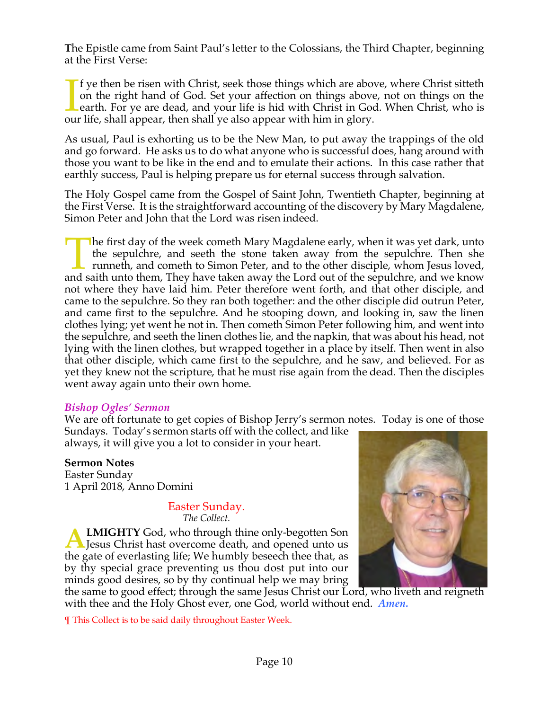**T**he Epistle came from Saint Paul's letter to the Colossians, the Third Chapter, beginning at the First Verse:

f ye then be risen with Christ, seek those things which are above, where Christ sitteth on the right hand of God. Set your affection on things above, not on things on the earth. For ye are dead, and your life is hid with Christ in God. When Christ, who is If ye then be risen with Christ, seek those things which are above on the right hand of God. Set your affection on things above earth. For ye are dead, and your life is hid with Christ in God our life, shall appear, then s

As usual, Paul is exhorting us to be the New Man, to put away the trappings of the old and go forward. He asks us to do what anyone who is successful does, hang around with those you want to be like in the end and to emulate their actions. In this case rather that earthly success, Paul is helping prepare us for eternal success through salvation.

The Holy Gospel came from the Gospel of Saint John, Twentieth Chapter, beginning at the First Verse. It is the straightforward accounting of the discovery by Mary Magdalene, Simon Peter and John that the Lord was risen indeed.

**The first day of the week cometh Mary Magdalene early, when it was yet dark, unto** the sepulchre, and seeth the stone taken away from the sepulchre. Then she runneth, and cometh to Simon Peter, and to the other disciple, whom Jesus loved, The first day of the week cometh Mary Magdalene early, when it was yet dark, unto the sepulchre, and seeth the stone taken away from the sepulchre. Then she runneth, and cometh to Simon Peter, and to the other disciple, wh not where they have laid him. Peter therefore went forth, and that other disciple, and came to the sepulchre. So they ran both together: and the other disciple did outrun Peter, and came first to the sepulchre. And he stooping down, and looking in, saw the linen clothes lying; yet went he not in. Then cometh Simon Peter following him, and went into the sepulchre, and seeth the linen clothes lie, and the napkin, that was about his head, not lying with the linen clothes, but wrapped together in a place by itself. Then went in also that other disciple, which came first to the sepulchre, and he saw, and believed. For as yet they knew not the scripture, that he must rise again from the dead. Then the disciples went away again unto their own home.

## *Bishop Ogles' Sermon*

We are oft fortunate to get copies of Bishop Jerry's sermon notes. Today is one of those

Sundays. Today's sermon starts off with the collect, and like always, it will give you a lot to consider in your heart.

## **Sermon Notes**

Easter Sunday 1 April 2018, Anno Domini

#### Easter Sunday. *The Collect.*

**LMIGHTY** God, who through thine only-begotten Son **A LMIGHTY** God, who through thine only-begotten Son<br>Jesus Christ hast overcome death, and opened unto us<br>the set of conclusion life We humble began it that the the gate of everlasting life; We humbly beseech thee that, as by thy special grace preventing us thou dost put into our minds good desires, so by thy continual help we may bring



the same to good effect; through the same Jesus Christ our Lord, who liveth and reigneth with thee and the Holy Ghost ever, one God, world without end. *Amen.*

¶ This Collect is to be said daily throughout Easter Week.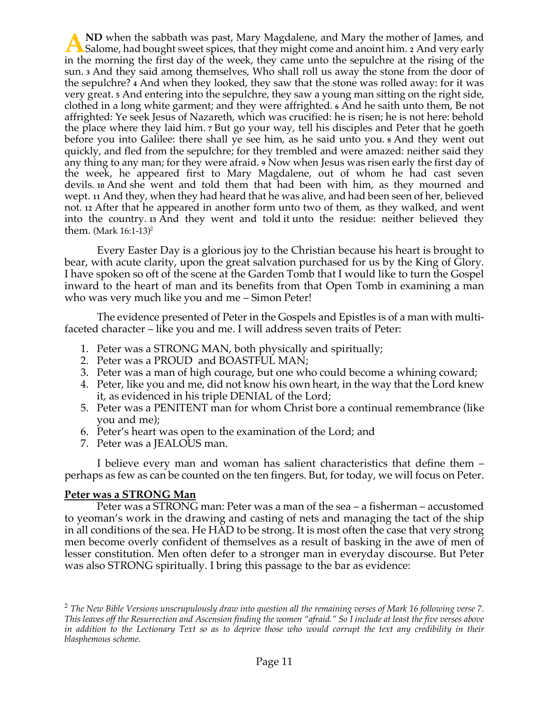**ND** when the sabbath was past, Mary Magdalene, and Mary the mother of James, and **A** Salome, had bought sweet spices, that they might come and anoint him. **2** And very early in the morning the Circle of the spices of the spice of the spice of the spice of the spice of the spice of the spice of the spic in the morning the first day of the week, they came unto the sepulchre at the rising of the sun. **<sup>3</sup>** And they said among themselves, Who shall roll us away the stone from the door of the sepulchre? **<sup>4</sup>** And when they looked, they saw that the stone was rolled away: for it was very great. **<sup>5</sup>** And entering into the sepulchre, they saw a young man sitting on the right side, clothed in a long white garment; and they were affrighted. **<sup>6</sup>** And he saith unto them, Be not affrighted: Ye seek Jesus of Nazareth, which was crucified: he is risen; he is not here: behold the place where they laid him. **<sup>7</sup>** But go your way, tell his disciples and Peter that he goeth before you into Galilee: there shall ye see him, as he said unto you. **<sup>8</sup>** And they went out quickly, and fled from the sepulchre; for they trembled and were amazed: neither said they any thing to any man; for they were afraid. **<sup>9</sup>** Now when Jesus was risen early the first day of the week, he appeared first to Mary Magdalene, out of whom he had cast seven devils. **<sup>10</sup>** And she went and told them that had been with him, as they mourned and wept. **<sup>11</sup>** And they, when they had heard that he was alive, and had been seen of her, believed not. **<sup>12</sup>** After that he appeared in another form unto two of them, as they walked, and went into the country. **<sup>13</sup>** And they went and told it unto the residue: neither believed they them. (Mark 16:1-13) 2

Every Easter Day is a glorious joy to the Christian because his heart is brought to bear, with acute clarity, upon the great salvation purchased for us by the King of Glory. I have spoken so oft of the scene at the Garden Tomb that I would like to turn the Gospel inward to the heart of man and its benefits from that Open Tomb in examining a man who was very much like you and me – Simon Peter!

The evidence presented of Peter in the Gospels and Epistles is of a man with multifaceted character – like you and me. I will address seven traits of Peter:

- 1. Peter was a STRONG MAN, both physically and spiritually;
- 2. Peter was a PROUD and BOASTFUL MAN;
- 3. Peter was a man of high courage, but one who could become a whining coward;
- 4. Peter, like you and me, did not know his own heart, in the way that the Lord knew it, as evidenced in his triple DENIAL of the Lord;
- 5. Peter was a PENITENT man for whom Christ bore a continual remembrance (like you and me);
- 6. Peter's heart was open to the examination of the Lord; and
- 7. Peter was a JEALOUS man.

I believe every man and woman has salient characteristics that define them – perhaps as few as can be counted on the ten fingers. But, for today, we will focus on Peter.

#### **Peter was a STRONG Man**

Peter was a STRONG man: Peter was a man of the sea – a fisherman – accustomed to yeoman's work in the drawing and casting of nets and managing the tact of the ship in all conditions of the sea. He HAD to be strong. It is most often the case that very strong men become overly confident of themselves as a result of basking in the awe of men of lesser constitution. Men often defer to a stronger man in everyday discourse. But Peter was also STRONG spiritually. I bring this passage to the bar as evidence:

<sup>2</sup> *The New Bible Versions unscrupulously draw into question all the remaining verses of Mark 16 following verse 7. This leaves off the Resurrection and Ascension finding the women "afraid." So I include at least the five verses above in addition to the Lectionary Text so as to deprive those who would corrupt the text any credibility in their blasphemous scheme*.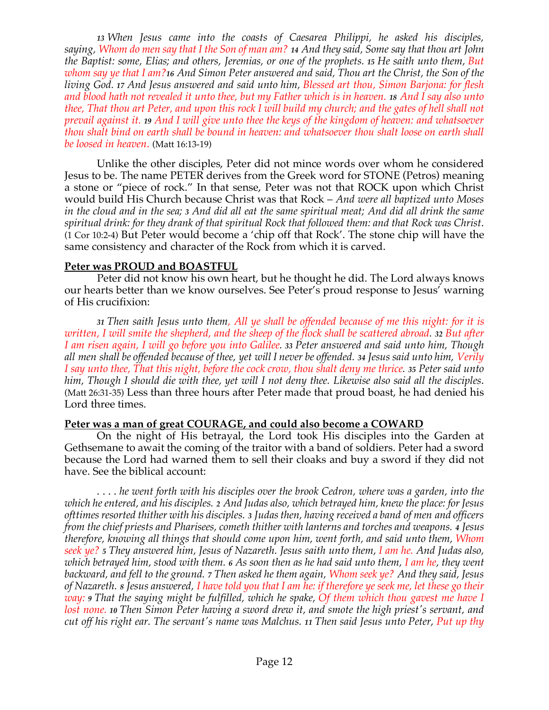*13 When Jesus came into the coasts of Caesarea Philippi, he asked his disciples, saying, Whom do men say that I the Son of man am? 14 And they said, Some say that thou art John the Baptist: some, Elias; and others, Jeremias, or one of the prophets. 15 He saith unto them, But whom say ye that I am?<sup>16</sup> And Simon Peter answered and said, Thou art the Christ, the Son of the living God. 17 And Jesus answered and said unto him, Blessed art thou, Simon Barjona: for flesh and blood hath not revealed it unto thee, but my Father which is in heaven. 18 And I say also unto thee, That thou art Peter, and upon this rock I will build my church; and the gates of hell shall not prevail against it. 19 And I will give unto thee the keys of the kingdom of heaven: and whatsoever thou shalt bind on earth shall be bound in heaven: and whatsoever thou shalt loose on earth shall be loosed in heaven*. (Matt 16:13-19)

Unlike the other disciples, Peter did not mince words over whom he considered Jesus to be. The name PETER derives from the Greek word for STONE (Petros) meaning a stone or "piece of rock." In that sense, Peter was not that ROCK upon which Christ would build His Church because Christ was that Rock – *And were all baptized unto Moses in the cloud and in the sea; 3 And did all eat the same spiritual meat; And did all drink the same spiritual drink: for they drank of that spiritual Rock that followed them: and that Rock was Christ*. (1 Cor 10:2-4) But Peter would become a 'chip off that Rock'. The stone chip will have the same consistency and character of the Rock from which it is carved.

# **Peter was PROUD and BOASTFUL**

Peter did not know his own heart, but he thought he did. The Lord always knows our hearts better than we know ourselves. See Peter's proud response to Jesus' warning of His crucifixion:

*<sup>31</sup> Then saith Jesus unto them, All ye shall be offended because of me this night: for it is written, I will smite the shepherd, and the sheep of the flock shall be scattered abroad. <sup>32</sup> But after I am risen again, I will go before you into Galilee. <sup>33</sup> Peter answered and said unto him, Though all men shall be offended because of thee, yet will I never be offended. <sup>34</sup> Jesus said unto him, Verily I say unto thee, That this night, before the cock crow, thou shalt deny me thrice. <sup>35</sup> Peter said unto him, Though I should die with thee, yet will I not deny thee. Likewise also said all the disciples*. (Matt 26:31-35) Less than three hours after Peter made that proud boast, he had denied his Lord three times.

## **Peter was a man of great COURAGE, and could also become a COWARD**

On the night of His betrayal, the Lord took His disciples into the Garden at Gethsemane to await the coming of the traitor with a band of soldiers. Peter had a sword because the Lord had warned them to sell their cloaks and buy a sword if they did not have. See the biblical account:

. . . . *he went forth with his disciples over the brook Cedron, where was a garden, into the which he entered, and his disciples. <sup>2</sup> And Judas also, which betrayed him, knew the place: for Jesus ofttimes resorted thither with his disciples. 3 Judas then, having received a band of men and officers from the chief priests and Pharisees, cometh thither with lanterns and torches and weapons. <sup>4</sup> Jesus therefore, knowing all things that should come upon him, went forth, and said unto them, Whom seek ye? <sup>5</sup> They answered him, Jesus of Nazareth. Jesus saith unto them, I am he. And Judas also, which betrayed him, stood with them. <sup>6</sup> As soon then as he had said unto them, I am he, they went backward, and fell to the ground. 7 Then asked he them again, Whom seek ye? And they said, Jesus of Nazareth. <sup>8</sup> Jesus answered, I have told you that I am he: if therefore ye seek me, let these go their way: <sup>9</sup> That the saying might be fulfilled, which he spake, Of them which thou gavest me have I lost none. 10 Then Simon Peter having a sword drew it, and smote the high priest's servant, and cut off his right ear. The servant's name was Malchus. <sup>11</sup> Then said Jesus unto Peter, Put up thy*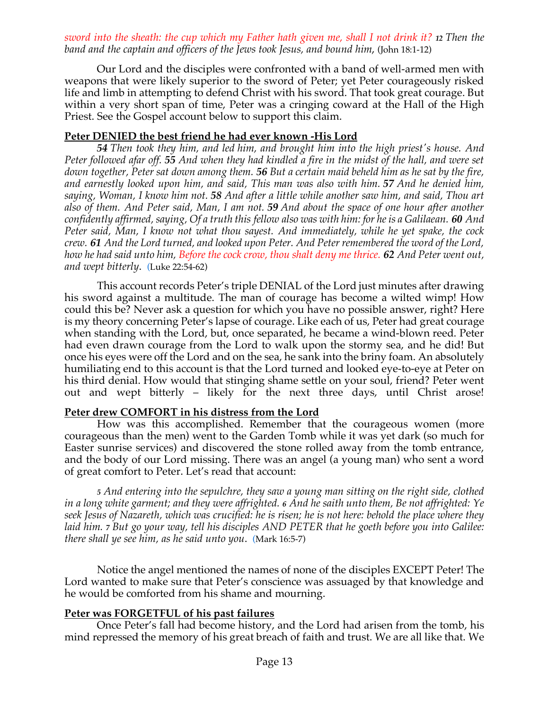*sword into the sheath: the cup which my Father hath given me, shall I not drink it? <sup>12</sup> Then the band and the captain and officers of the Jews took Jesus, and bound him*, (John 18:1-12)

Our Lord and the disciples were confronted with a band of well-armed men with weapons that were likely superior to the sword of Peter; yet Peter courageously risked life and limb in attempting to defend Christ with his sword. That took great courage. But within a very short span of time, Peter was a cringing coward at the Hall of the High Priest. See the Gospel account below to support this claim.

# **Peter DENIED the best friend he had ever known -His Lord**

*54 Then took they him, and led him, and brought him into the high priest's house. And Peter followed afar off. 55 And when they had kindled a fire in the midst of the hall, and were set down together, Peter sat down among them. 56 But a certain maid beheld him as he sat by the fire, and earnestly looked upon him, and said, This man was also with him. 57 And he denied him, saying, Woman, I know him not. 58 And after a little while another saw him, and said, Thou art also of them. And Peter said, Man, I am not. 59 And about the space of one hour after another confidently affirmed, saying, Of a truth this fellow also was with him: for he is a Galilaean. 60 And Peter said, Man, I know not what thou sayest. And immediately, while he yet spake, the cock crew. 61 And the Lord turned, and looked upon Peter. And Peter remembered the word of the Lord, how he had said unto him, Before the cock crow, thou shalt deny me thrice. 62 And Peter went out, and wept bitterly*. (Luke 22:54-62)

This account records Peter's triple DENIAL of the Lord just minutes after drawing his sword against a multitude. The man of courage has become a wilted wimp! How could this be? Never ask a question for which you have no possible answer, right? Here is my theory concerning Peter's lapse of courage. Like each of us, Peter had great courage when standing with the Lord, but, once separated, he became a wind-blown reed. Peter had even drawn courage from the Lord to walk upon the stormy sea, and he did! But once his eyes were off the Lord and on the sea, he sank into the briny foam. An absolutely humiliating end to this account is that the Lord turned and looked eye-to-eye at Peter on his third denial. How would that stinging shame settle on your soul, friend? Peter went out and wept bitterly – likely for the next three days, until Christ arose!

## **Peter drew COMFORT in his distress from the Lord**

How was this accomplished. Remember that the courageous women (more courageous than the men) went to the Garden Tomb while it was yet dark (so much for Easter sunrise services) and discovered the stone rolled away from the tomb entrance, and the body of our Lord missing. There was an angel (a young man) who sent a word of great comfort to Peter. Let's read that account:

*5 And entering into the sepulchre, they saw a young man sitting on the right side, clothed in a long white garment; and they were affrighted. <sup>6</sup> And he saith unto them, Be not affrighted: Ye seek Jesus of Nazareth, which was crucified: he is risen; he is not here: behold the place where they laid him. <sup>7</sup> But go your way, tell his disciples AND PETER that he goeth before you into Galilee: there shall ye see him, as he said unto you*. (Mark 16:5-7)

Notice the angel mentioned the names of none of the disciples EXCEPT Peter! The Lord wanted to make sure that Peter's conscience was assuaged by that knowledge and he would be comforted from his shame and mourning.

# **Peter was FORGETFUL of his past failures**

Once Peter's fall had become history, and the Lord had arisen from the tomb, his mind repressed the memory of his great breach of faith and trust. We are all like that. We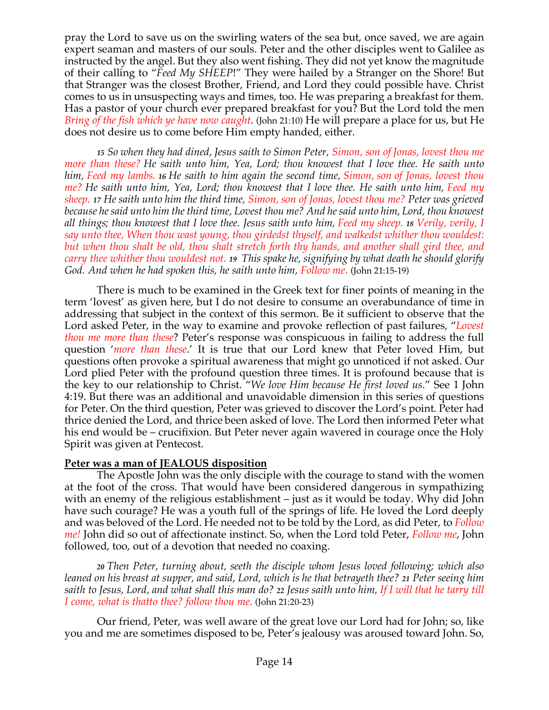pray the Lord to save us on the swirling waters of the sea but, once saved, we are again expert seaman and masters of our souls. Peter and the other disciples went to Galilee as instructed by the angel. But they also went fishing. They did not yet know the magnitude of their calling to "*Feed My SHEEP*!" They were hailed by a Stranger on the Shore! But that Stranger was the closest Brother, Friend, and Lord they could possible have. Christ comes to us in unsuspecting ways and times, too. He was preparing a breakfast for them. Has a pastor of your church ever prepared breakfast for you? But the Lord told the men *Bring of the fish which ye have now caught*. (John 21:10) He will prepare a place for us, but He does not desire us to come before Him empty handed, either.

*15 So when they had dined, Jesus saith to Simon Peter, Simon, son of Jonas, lovest thou me more than these? He saith unto him, Yea, Lord; thou knowest that I love thee. He saith unto him, Feed my lambs. 16 He saith to him again the second time, Simon, son of Jonas, lovest thou me? He saith unto him, Yea, Lord; thou knowest that I love thee. He saith unto him, Feed my sheep. 17 He saith unto him the third time, Simon, son of Jonas, lovest thou me? Peter was grieved because he said unto him the third time, Lovest thou me? And he said unto him, Lord, thou knowest all things; thou knowest that I love thee. Jesus saith unto him, Feed my sheep. <sup>18</sup> Verily, verily, I say unto thee, When thou wast young, thou girdedst thyself, and walkedst whither thou wouldest: but when thou shalt be old, thou shalt stretch forth thy hands, and another shall gird thee, and carry thee whither thou wouldest not. <sup>19</sup> This spake he, signifying by what death he should glorify God. And when he had spoken this, he saith unto him, Follow me*. (John 21:15-19)

There is much to be examined in the Greek text for finer points of meaning in the term 'lovest' as given here, but I do not desire to consume an overabundance of time in addressing that subject in the context of this sermon. Be it sufficient to observe that the Lord asked Peter, in the way to examine and provoke reflection of past failures, "*Lovest thou me more than these*? Peter's response was conspicuous in failing to address the full question '*more than these*.' It is true that our Lord knew that Peter loved Him, but questions often provoke a spiritual awareness that might go unnoticed if not asked. Our Lord plied Peter with the profound question three times. It is profound because that is the key to our relationship to Christ. "*We love Him because He first loved us*." See 1 John 4:19. But there was an additional and unavoidable dimension in this series of questions for Peter. On the third question, Peter was grieved to discover the Lord's point. Peter had thrice denied the Lord, and thrice been asked of love. The Lord then informed Peter what his end would be – crucifixion. But Peter never again wavered in courage once the Holy Spirit was given at Pentecost.

# **Peter was a man of JEALOUS disposition**

The Apostle John was the only disciple with the courage to stand with the women at the foot of the cross. That would have been considered dangerous in sympathizing with an enemy of the religious establishment – just as it would be today. Why did John have such courage? He was a youth full of the springs of life. He loved the Lord deeply and was beloved of the Lord. He needed not to be told by the Lord, as did Peter, to *Follow me!* John did so out of affectionate instinct. So, when the Lord told Peter, *Follow me*, John followed, too, out of a devotion that needed no coaxing.

*<sup>20</sup> Then Peter, turning about, seeth the disciple whom Jesus loved following; which also leaned on his breast at supper, and said, Lord, which is he that betrayeth thee? 21 Peter seeing him saith to Jesus, Lord, and what shall this man do? 22 Jesus saith unto him, If I will that he tarry till I come, what is thatto thee? follow thou me*. (John 21:20-23)

Our friend, Peter, was well aware of the great love our Lord had for John; so, like you and me are sometimes disposed to be, Peter's jealousy was aroused toward John. So,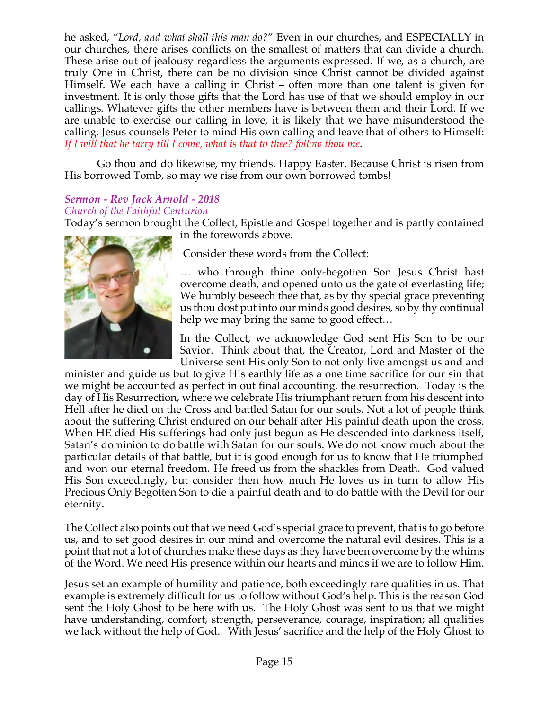he asked, "*Lord, and what shall this man do?*" Even in our churches, and ESPECIALLY in our churches, there arises conflicts on the smallest of matters that can divide a church. These arise out of jealousy regardless the arguments expressed. If we, as a church, are truly One in Christ, there can be no division since Christ cannot be divided against Himself. We each have a calling in Christ – often more than one talent is given for investment. It is only those gifts that the Lord has use of that we should employ in our callings. Whatever gifts the other members have is between them and their Lord. If we are unable to exercise our calling in love, it is likely that we have misunderstood the calling. Jesus counsels Peter to mind His own calling and leave that of others to Himself: *If I will that he tarry till I come, what is that to thee? follow thou me*.

Go thou and do likewise, my friends. Happy Easter. Because Christ is risen from His borrowed Tomb, so may we rise from our own borrowed tombs!

# *Sermon - Rev Jack Arnold - 2018*

#### *Church of the Faithful Centurion*

Today's sermon brought the Collect, Epistle and Gospel together and is partly contained in the forewords above.



Consider these words from the Collect:

… who through thine only-begotten Son Jesus Christ hast overcome death, and opened unto us the gate of everlasting life; We humbly beseech thee that, as by thy special grace preventing us thou dost put into our minds good desires, so by thy continual help we may bring the same to good effect…

In the Collect, we acknowledge God sent His Son to be our Savior. Think about that, the Creator, Lord and Master of the Universe sent His only Son to not only live amongst us and and

minister and guide us but to give His earthly life as a one time sacrifice for our sin that we might be accounted as perfect in out final accounting, the resurrection. Today is the day of His Resurrection, where we celebrate His triumphant return from his descent into Hell after he died on the Cross and battled Satan for our souls. Not a lot of people think about the suffering Christ endured on our behalf after His painful death upon the cross. When HE died His sufferings had only just begun as He descended into darkness itself, Satan's dominion to do battle with Satan for our souls. We do not know much about the particular details of that battle, but it is good enough for us to know that He triumphed and won our eternal freedom. He freed us from the shackles from Death. God valued His Son exceedingly, but consider then how much He loves us in turn to allow His Precious Only Begotten Son to die a painful death and to do battle with the Devil for our eternity.

The Collect also points out that we need God's special grace to prevent, that is to go before us, and to set good desires in our mind and overcome the natural evil desires. This is a point that not a lot of churches make these days as they have been overcome by the whims of the Word. We need His presence within our hearts and minds if we are to follow Him.

Jesus set an example of humility and patience, both exceedingly rare qualities in us. That example is extremely difficult for us to follow without God's help. This is the reason God sent the Holy Ghost to be here with us. The Holy Ghost was sent to us that we might have understanding, comfort, strength, perseverance, courage, inspiration; all qualities we lack without the help of God. With Jesus' sacrifice and the help of the Holy Ghost to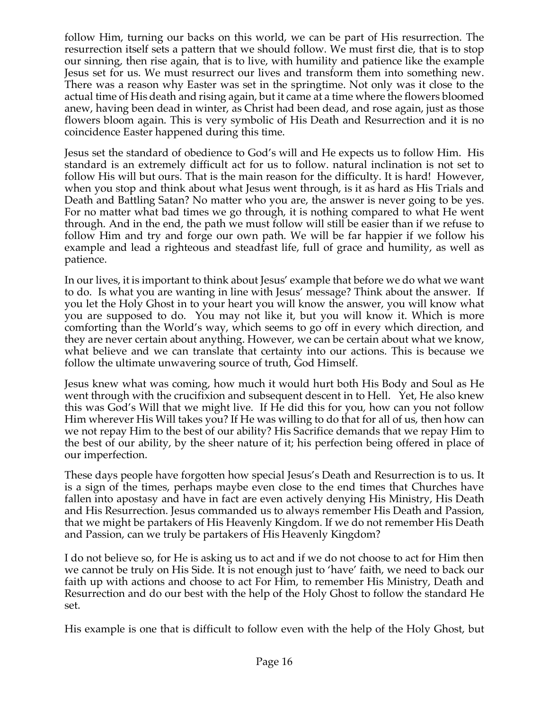follow Him, turning our backs on this world, we can be part of His resurrection. The resurrection itself sets a pattern that we should follow. We must first die, that is to stop our sinning, then rise again, that is to live, with humility and patience like the example Jesus set for us. We must resurrect our lives and transform them into something new. There was a reason why Easter was set in the springtime. Not only was it close to the actual time of His death and rising again, but it came at a time where the flowers bloomed anew, having been dead in winter, as Christ had been dead, and rose again, just as those flowers bloom again. This is very symbolic of His Death and Resurrection and it is no coincidence Easter happened during this time.

Jesus set the standard of obedience to God's will and He expects us to follow Him. His standard is an extremely difficult act for us to follow. natural inclination is not set to follow His will but ours. That is the main reason for the difficulty. It is hard! However, when you stop and think about what Jesus went through, is it as hard as His Trials and Death and Battling Satan? No matter who you are, the answer is never going to be yes. For no matter what bad times we go through, it is nothing compared to what He went through. And in the end, the path we must follow will still be easier than if we refuse to follow Him and try and forge our own path. We will be far happier if we follow his example and lead a righteous and steadfast life, full of grace and humility, as well as patience.

In our lives, it is important to think about Jesus' example that before we do what we want to do. Is what you are wanting in line with Jesus' message? Think about the answer. If you let the Holy Ghost in to your heart you will know the answer, you will know what you are supposed to do. You may not like it, but you will know it. Which is more comforting than the World's way, which seems to go off in every which direction, and they are never certain about anything. However, we can be certain about what we know, what believe and we can translate that certainty into our actions. This is because we follow the ultimate unwavering source of truth, God Himself.

Jesus knew what was coming, how much it would hurt both His Body and Soul as He went through with the crucifixion and subsequent descent in to Hell. Yet, He also knew this was God's Will that we might live. If He did this for you, how can you not follow Him wherever His Will takes you? If He was willing to do that for all of us, then how can we not repay Him to the best of our ability? His Sacrifice demands that we repay Him to the best of our ability, by the sheer nature of it; his perfection being offered in place of our imperfection.

These days people have forgotten how special Jesus's Death and Resurrection is to us. It is a sign of the times, perhaps maybe even close to the end times that Churches have fallen into apostasy and have in fact are even actively denying His Ministry, His Death and His Resurrection. Jesus commanded us to always remember His Death and Passion, that we might be partakers of His Heavenly Kingdom. If we do not remember His Death and Passion, can we truly be partakers of His Heavenly Kingdom?

I do not believe so, for He is asking us to act and if we do not choose to act for Him then we cannot be truly on His Side. It is not enough just to 'have' faith, we need to back our faith up with actions and choose to act For Him, to remember His Ministry, Death and Resurrection and do our best with the help of the Holy Ghost to follow the standard He set.

His example is one that is difficult to follow even with the help of the Holy Ghost, but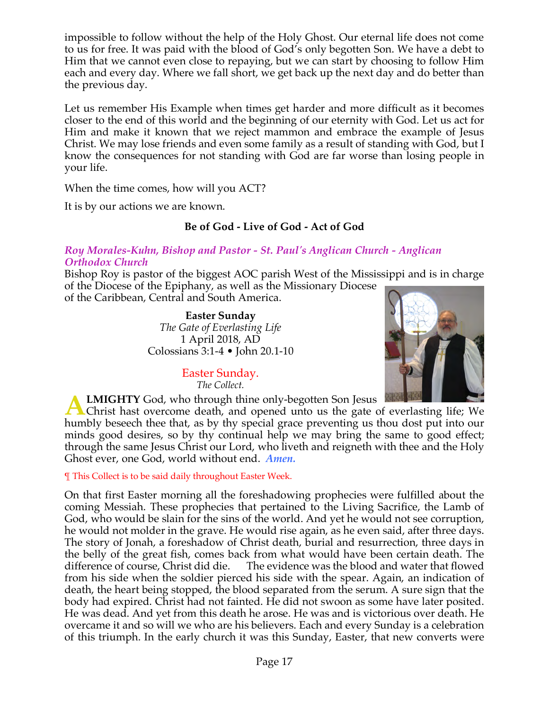impossible to follow without the help of the Holy Ghost. Our eternal life does not come to us for free. It was paid with the blood of God's only begotten Son. We have a debt to Him that we cannot even close to repaying, but we can start by choosing to follow Him each and every day. Where we fall short, we get back up the next day and do better than the previous day.

Let us remember His Example when times get harder and more difficult as it becomes closer to the end of this world and the beginning of our eternity with God. Let us act for Him and make it known that we reject mammon and embrace the example of Jesus Christ. We may lose friends and even some family as a result of standing with God, but I know the consequences for not standing with God are far worse than losing people in your life.

When the time comes, how will you ACT?

It is by our actions we are known.

# **Be of God - Live of God - Act of God**

# *Roy Morales-Kuhn, Bishop and Pastor - St. Paul's Anglican Church - Anglican Orthodox Church*

Bishop Roy is pastor of the biggest AOC parish West of the Mississippi and is in charge of the Diocese of the Epiphany, as well as the Missionary Diocese of the Caribbean, Central and South America.

> **Easter Sunday** *The Gate of Everlasting Life* 1 April 2018, AD Colossians 3:1-4 • John 20.1-10



Easter Sunday. *The Collect.*

**LMIGHTY** God, who through thine only-begotten Son Jesus

**A LMIGHTY** God, who through thine only-begotten Son Jesus **Christ** hast overcome death, and opened unto us the gate of everlasting life; We have the later of the death of the death of the set of the death of the death of humbly beseech thee that, as by thy special grace preventing us thou dost put into our minds good desires, so by thy continual help we may bring the same to good effect; through the same Jesus Christ our Lord, who liveth and reigneth with thee and the Holy Ghost ever, one God, world without end. *Amen.*

¶ This Collect is to be said daily throughout Easter Week.

On that first Easter morning all the foreshadowing prophecies were fulfilled about the coming Messiah. These prophecies that pertained to the Living Sacrifice, the Lamb of God, who would be slain for the sins of the world. And yet he would not see corruption, he would not molder in the grave. He would rise again, as he even said, after three days. The story of Jonah, a foreshadow of Christ death, burial and resurrection, three days in the belly of the great fish, comes back from what would have been certain death. The difference of course, Christ did die. The evidence was the blood and water that flowed from his side when the soldier pierced his side with the spear. Again, an indication of death, the heart being stopped, the blood separated from the serum. A sure sign that the body had expired. Christ had not fainted. He did not swoon as some have later posited. He was dead. And yet from this death he arose. He was and is victorious over death. He overcame it and so will we who are his believers. Each and every Sunday is a celebration of this triumph. In the early church it was this Sunday, Easter, that new converts were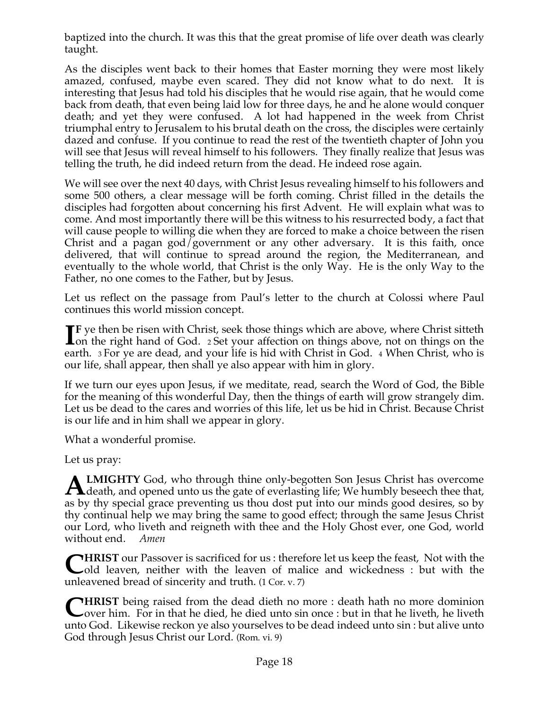baptized into the church. It was this that the great promise of life over death was clearly taught.

As the disciples went back to their homes that Easter morning they were most likely amazed, confused, maybe even scared. They did not know what to do next. It is interesting that Jesus had told his disciples that he would rise again, that he would come back from death, that even being laid low for three days, he and he alone would conquer death; and yet they were confused. A lot had happened in the week from Christ triumphal entry to Jerusalem to his brutal death on the cross, the disciples were certainly dazed and confuse. If you continue to read the rest of the twentieth chapter of John you will see that Jesus will reveal himself to his followers. They finally realize that Jesus was telling the truth, he did indeed return from the dead. He indeed rose again.

We will see over the next 40 days, with Christ Jesus revealing himself to his followers and some 500 others, a clear message will be forth coming. Christ filled in the details the disciples had forgotten about concerning his first Advent. He will explain what was to come. And most importantly there will be this witness to his resurrected body, a fact that will cause people to willing die when they are forced to make a choice between the risen Christ and a pagan god/government or any other adversary. It is this faith, once delivered, that will continue to spread around the region, the Mediterranean, and eventually to the whole world, that Christ is the only Way. He is the only Way to the Father, no one comes to the Father, but by Jesus.

Let us reflect on the passage from Paul's letter to the church at Colossi where Paul continues this world mission concept.

**F** ye then be risen with Christ, seek those things which are above, where Christ sitteth **IF** ye then be risen with Christ, seek those things which are above, where Christ sitteth on the right hand of God. 2 Set your affection on things above, not on things on the set of the set of the set of the set of the se earth. 3 For ye are dead, and your life is hid with Christ in God. 4 When Christ, who is our life, shall appear, then shall ye also appear with him in glory.

If we turn our eyes upon Jesus, if we meditate, read, search the Word of God, the Bible for the meaning of this wonderful Day, then the things of earth will grow strangely dim. Let us be dead to the cares and worries of this life, let us be hid in Christ. Because Christ is our life and in him shall we appear in glory.

What a wonderful promise.

Let us pray:

**LMIGHTY** God, who through thine only-begotten Son Jesus Christ has overcome **ALMIGHTY** God, who through thine only-begotten Son Jesus Christ has overcome death, and opened unto us the gate of everlasting life; We humbly beseech thee that, as by thy special grace preventing us thou dost put into our minds good desires, so by thy continual help we may bring the same to good effect; through the same Jesus Christ our Lord, who liveth and reigneth with thee and the Holy Ghost ever, one God, world without end. *Amen*

**HRIST** our Passover is sacrificed for us : therefore let us keep the feast, Not with the **CHRIST** our Passover is sacrificed for us : therefore let us keep the feast, Not with the loaven, neither with the leaven of malice and wickedness : but with the unleavened bread of sincerity and truth. (1 Cor. v. 7)

**CHRIST** being raised from the dead dieth no more : death hath no more dominion over him. For in that he died, he died unto sin once : but in that he liveth, he liveth over him. For in that he died, he died unto sin once : but in that he liveth, he liveth unto God. Likewise reckon ye also yourselves to be dead indeed unto sin : but alive unto God through Jesus Christ our Lord. (Rom. vi. 9)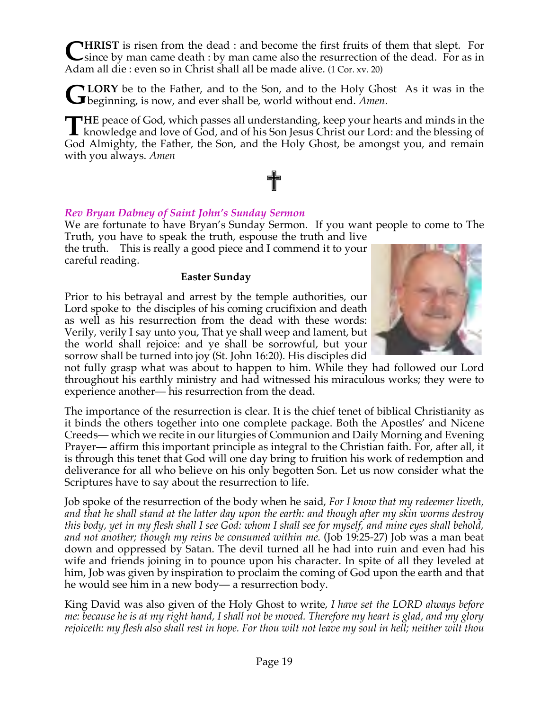**HRIST** is risen from the dead : and become the first fruits of them that slept. For **CHRIST** is risen from the dead : and become the first fruits of them that slept. For since by man came death : by man came also the resurrection of the dead. For as in Adam all die : even so in Christ shall all be made alive. (1 Cor. xv. 20)

**LORY** be to the Father, and to the Son, and to the Holy Ghost As it was in the **GLORY** be to the Father, and to the Son, and to the Holy Ghogenning, is now, and ever shall be, world without end. *Amen*.

**HE** peace of God, which passes all understanding, keep your hearts and minds in the knowledge and love of God, and of his Son Jesus Christ our Lord: and the blessing of **L** knowledge and love of God, and of his Son Jesus Christ our Lord: and the blessing of God Almighty, the Father, the Son, and the Holy Ghost, be amongst you, and remain with you always. *Amen*

✟

# *Rev Bryan Dabney of Saint John's Sunday Sermon*

We are fortunate to have Bryan's Sunday Sermon. If you want people to come to The Truth, you have to speak the truth, espouse the truth and live

the truth. This is really a good piece and I commend it to your careful reading.

#### **Easter Sunday**

Prior to his betrayal and arrest by the temple authorities, our Lord spoke to the disciples of his coming crucifixion and death as well as his resurrection from the dead with these words: Verily, verily I say unto you, That ye shall weep and lament, but the world shall rejoice: and ye shall be sorrowful, but your sorrow shall be turned into joy (St. John 16:20). His disciples did



not fully grasp what was about to happen to him. While they had followed our Lord throughout his earthly ministry and had witnessed his miraculous works; they were to experience another— his resurrection from the dead.

The importance of the resurrection is clear. It is the chief tenet of biblical Christianity as it binds the others together into one complete package. Both the Apostles' and Nicene Creeds— which we recite in our liturgies of Communion and Daily Morning and Evening Prayer— affirm this important principle as integral to the Christian faith. For, after all, it is through this tenet that God will one day bring to fruition his work of redemption and deliverance for all who believe on his only begotten Son. Let us now consider what the Scriptures have to say about the resurrection to life.

Job spoke of the resurrection of the body when he said, *For I know that my redeemer liveth, and that he shall stand at the latter day upon the earth: and though after my skin worms destroy this body, yet in my flesh shall I see God: whom I shall see for myself, and mine eyes shall behold, and not another; though my reins be consumed within me.* (Job 19:25-27) Job was a man beat down and oppressed by Satan. The devil turned all he had into ruin and even had his wife and friends joining in to pounce upon his character. In spite of all they leveled at him, Job was given by inspiration to proclaim the coming of God upon the earth and that he would see him in a new body— a resurrection body.

King David was also given of the Holy Ghost to write, *I have set the LORD always before me: because he is at my right hand, I shall not be moved. Therefore my heart is glad, and my glory rejoiceth: my flesh also shall rest in hope. For thou wilt not leave my soul in hell; neither wilt thou*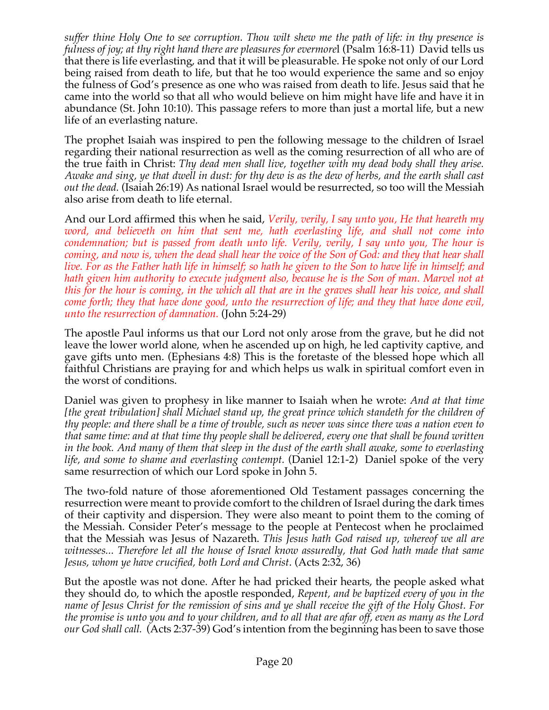*suffer thine Holy One to see corruption. Thou wilt shew me the path of life: in thy presence is fulness of joy; at thy right hand there are pleasures for evermorel (Psalm 16:8-11) David tells us* that there is life everlasting, and that it will be pleasurable. He spoke not only of our Lord being raised from death to life, but that he too would experience the same and so enjoy the fulness of God's presence as one who was raised from death to life. Jesus said that he came into the world so that all who would believe on him might have life and have it in abundance (St. John 10:10). This passage refers to more than just a mortal life, but a new life of an everlasting nature.

The prophet Isaiah was inspired to pen the following message to the children of Israel regarding their national resurrection as well as the coming resurrection of all who are of the true faith in Christ: *Thy dead men shall live, together with my dead body shall they arise. Awake and sing, ye that dwell in dust: for thy dew is as the dew of herbs, and the earth shall cast out the dead.* (Isaiah 26:19) As national Israel would be resurrected, so too will the Messiah also arise from death to life eternal.

And our Lord affirmed this when he said, *Verily, verily, I say unto you, He that heareth my*  word, and believeth on him that sent me, hath everlasting life, and shall not come into *condemnation; but is passed from death unto life. Verily, verily, I say unto you, The hour is coming, and now is, when the dead shall hear the voice of the Son of God: and they that hear shall live. For as the Father hath life in himself; so hath he given to the Son to have life in himself; and hath given him authority to execute judgment also, because he is the Son of man. Marvel not at this for the hour is coming, in the which all that are in the graves shall hear his voice, and shall come forth; they that have done good, unto the resurrection of life; and they that have done evil, unto the resurrection of damnation.* (John 5:24-29)

The apostle Paul informs us that our Lord not only arose from the grave, but he did not leave the lower world alone, when he ascended up on high, he led captivity captive, and gave gifts unto men. (Ephesians 4:8) This is the foretaste of the blessed hope which all faithful Christians are praying for and which helps us walk in spiritual comfort even in the worst of conditions.

Daniel was given to prophesy in like manner to Isaiah when he wrote: *And at that time [the great tribulation] shall Michael stand up, the great prince which standeth for the children of thy people: and there shall be a time of trouble, such as never was since there was a nation even to that same time: and at that time thy people shall be delivered, every one that shall be found written in the book. And many of them that sleep in the dust of the earth shall awake, some to everlasting life, and some to shame and everlasting contempt.* (Daniel 12:1-2) Daniel spoke of the very same resurrection of which our Lord spoke in John 5.

The two-fold nature of those aforementioned Old Testament passages concerning the resurrection were meant to provide comfort to the children of Israel during the dark times of their captivity and dispersion. They were also meant to point them to the coming of the Messiah. Consider Peter's message to the people at Pentecost when he proclaimed that the Messiah was Jesus of Nazareth. *This Jesus hath God raised up, whereof we all are witnesses... Therefore let all the house of Israel know assuredly, that God hath made that same Jesus, whom ye have crucified, both Lord and Christ*. (Acts 2:32, 36)

But the apostle was not done. After he had pricked their hearts, the people asked what they should do, to which the apostle responded, *Repent, and be baptized every of you in the name of Jesus Christ for the remission of sins and ye shall receive the gift of the Holy Ghost. For the promise is unto you and to your children, and to all that are afar off, even as many as the Lord our God shall call.* (Acts 2:37-39) God's intention from the beginning has been to save those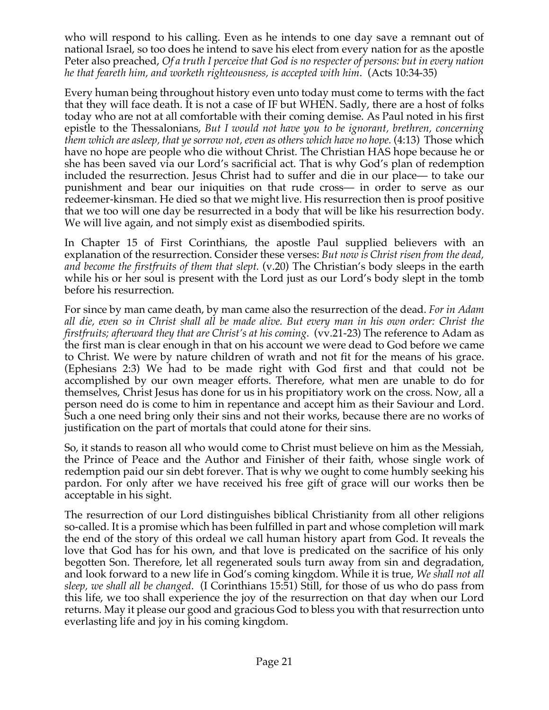who will respond to his calling. Even as he intends to one day save a remnant out of national Israel, so too does he intend to save his elect from every nation for as the apostle Peter also preached, *Of a truth I perceive that God is no respecter of persons: but in every nation he that feareth him, and worketh righteousness, is accepted with him*. (Acts 10:34-35)

Every human being throughout history even unto today must come to terms with the fact that they will face death. It is not a case of IF but WHEN. Sadly, there are a host of folks today who are not at all comfortable with their coming demise. As Paul noted in his first epistle to the Thessalonians, *But I would not have you to be ignorant, brethren, concerning them which are asleep, that ye sorrow not, even as others which have no hope.* (4:13) Those which have no hope are people who die without Christ. The Christian HAS hope because he or she has been saved via our Lord's sacrificial act. That is why God's plan of redemption included the resurrection. Jesus Christ had to suffer and die in our place— to take our punishment and bear our iniquities on that rude cross— in order to serve as our redeemer-kinsman. He died so that we might live. His resurrection then is proof positive that we too will one day be resurrected in a body that will be like his resurrection body. We will live again, and not simply exist as disembodied spirits.

In Chapter 15 of First Corinthians, the apostle Paul supplied believers with an explanation of the resurrection. Consider these verses: *But now is Christ risen from the dead, and become the firstfruits of them that slept.* (v.20) The Christian's body sleeps in the earth while his or her soul is present with the Lord just as our Lord's body slept in the tomb before his resurrection.

For since by man came death, by man came also the resurrection of the dead. *For in Adam all die, even so in Christ shall all be made alive. But every man in his own order: Christ the firstfruits; afterward they that are Christ's at his coming*. (vv.21-23) The reference to Adam as the first man is clear enough in that on his account we were dead to God before we came to Christ. We were by nature children of wrath and not fit for the means of his grace. (Ephesians 2:3) We had to be made right with God first and that could not be accomplished by our own meager efforts. Therefore, what men are unable to do for themselves, Christ Jesus has done for us in his propitiatory work on the cross. Now, all a person need do is come to him in repentance and accept him as their Saviour and Lord. Such a one need bring only their sins and not their works, because there are no works of justification on the part of mortals that could atone for their sins.

So, it stands to reason all who would come to Christ must believe on him as the Messiah, the Prince of Peace and the Author and Finisher of their faith, whose single work of redemption paid our sin debt forever. That is why we ought to come humbly seeking his pardon. For only after we have received his free gift of grace will our works then be acceptable in his sight.

The resurrection of our Lord distinguishes biblical Christianity from all other religions so-called. It is a promise which has been fulfilled in part and whose completion will mark the end of the story of this ordeal we call human history apart from God. It reveals the love that God has for his own, and that love is predicated on the sacrifice of his only begotten Son. Therefore, let all regenerated souls turn away from sin and degradation, and look forward to a new life in God's coming kingdom. While it is true, *We shall not all sleep, we shall all be changed*. (I Corinthians 15:51) Still, for those of us who do pass from this life, we too shall experience the joy of the resurrection on that day when our Lord returns. May it please our good and gracious God to bless you with that resurrection unto everlasting life and joy in his coming kingdom.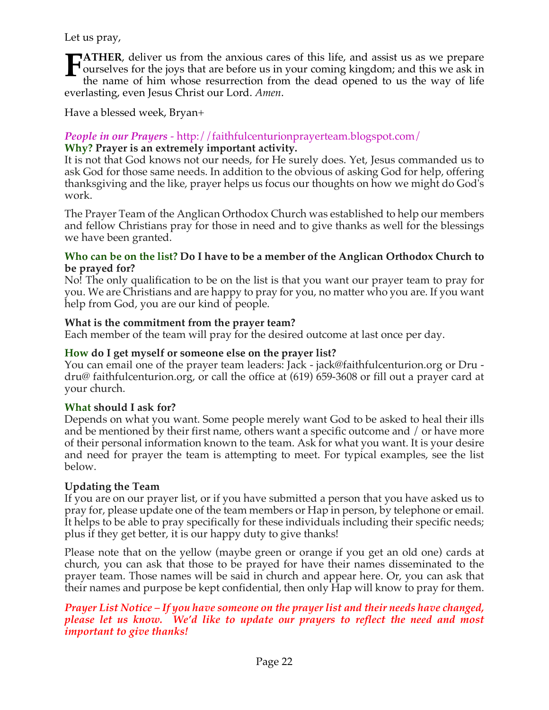Let us pray,

**ATHER**, deliver us from the anxious cares of this life, and assist us as we prepare ourselves for the joys that are before us in your coming kingdom; and this we ask in the name of him whose resurrection from the dead opened to us the way of life everlasting, even Jesus Christ our Lord. *Amen*. **F**

Have a blessed week, Bryan+

# *People in our Prayers* - http://faithfulcenturionprayerteam.blogspot.com/ **Why? Prayer is an extremely important activity.**

It is not that God knows not our needs, for He surely does. Yet, Jesus commanded us to ask God for those same needs. In addition to the obvious of asking God for help, offering thanksgiving and the like, prayer helps us focus our thoughts on how we might do God's work.

The Prayer Team of the Anglican Orthodox Church was established to help our members and fellow Christians pray for those in need and to give thanks as well for the blessings we have been granted.

## **Who can be on the list? Do I have to be a member of the Anglican Orthodox Church to be prayed for?**

No! The only qualification to be on the list is that you want our prayer team to pray for you. We are Christians and are happy to pray for you, no matter who you are. If you want help from God, you are our kind of people.

# **What is the commitment from the prayer team?**

Each member of the team will pray for the desired outcome at last once per day.

# **How do I get myself or someone else on the prayer list?**

You can email one of the prayer team leaders: Jack - jack@faithfulcenturion.org or Dru dru@ faithfulcenturion.org, or call the office at (619) 659-3608 or fill out a prayer card at your church.

# **What should I ask for?**

Depends on what you want. Some people merely want God to be asked to heal their ills and be mentioned by their first name, others want a specific outcome and / or have more of their personal information known to the team. Ask for what you want. It is your desire and need for prayer the team is attempting to meet. For typical examples, see the list below.

# **Updating the Team**

If you are on our prayer list, or if you have submitted a person that you have asked us to pray for, please update one of the team members or Hap in person, by telephone or email. It helps to be able to pray specifically for these individuals including their specific needs; plus if they get better, it is our happy duty to give thanks!

Please note that on the yellow (maybe green or orange if you get an old one) cards at church, you can ask that those to be prayed for have their names disseminated to the prayer team. Those names will be said in church and appear here. Or, you can ask that their names and purpose be kept confidential, then only Hap will know to pray for them.

## *Prayer List Notice – If you have someone on the prayer list and their needs have changed, please let us know. We'd like to update our prayers to reflect the need and most important to give thanks!*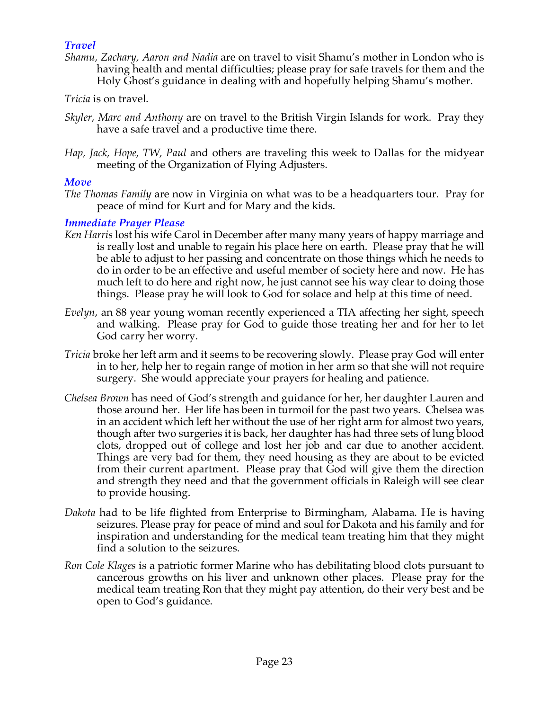# *Travel*

- *Shamu, Zachary, Aaron and Nadia* are on travel to visit Shamu's mother in London who is having health and mental difficulties; please pray for safe travels for them and the Holy Ghost's guidance in dealing with and hopefully helping Shamu's mother.
- *Tricia* is on travel.
- *Skyler, Marc and Anthony* are on travel to the British Virgin Islands for work. Pray they have a safe travel and a productive time there.
- *Hap, Jack, Hope, TW, Paul* and others are traveling this week to Dallas for the midyear meeting of the Organization of Flying Adjusters.

# *Move*

*The Thomas Family* are now in Virginia on what was to be a headquarters tour. Pray for peace of mind for Kurt and for Mary and the kids.

# *Immediate Prayer Please*

- *Ken Harris* lost his wife Carol in December after many many years of happy marriage and is really lost and unable to regain his place here on earth. Please pray that he will be able to adjust to her passing and concentrate on those things which he needs to do in order to be an effective and useful member of society here and now. He has much left to do here and right now, he just cannot see his way clear to doing those things. Please pray he will look to God for solace and help at this time of need.
- *Evelyn*, an 88 year young woman recently experienced a TIA affecting her sight, speech and walking. Please pray for God to guide those treating her and for her to let God carry her worry.
- *Tricia* broke her left arm and it seems to be recovering slowly. Please pray God will enter in to her, help her to regain range of motion in her arm so that she will not require surgery. She would appreciate your prayers for healing and patience.
- *Chelsea Brown* has need of God's strength and guidance for her, her daughter Lauren and those around her. Her life has been in turmoil for the past two years. Chelsea was in an accident which left her without the use of her right arm for almost two years, though after two surgeries it is back, her daughter has had three sets of lung blood clots, dropped out of college and lost her job and car due to another accident. Things are very bad for them, they need housing as they are about to be evicted from their current apartment. Please pray that God will give them the direction and strength they need and that the government officials in Raleigh will see clear to provide housing.
- *Dakota* had to be life flighted from Enterprise to Birmingham, Alabama. He is having seizures. Please pray for peace of mind and soul for Dakota and his family and for inspiration and understanding for the medical team treating him that they might find a solution to the seizures.
- *Ron Cole Klages* is a patriotic former Marine who has debilitating blood clots pursuant to cancerous growths on his liver and unknown other places. Please pray for the medical team treating Ron that they might pay attention, do their very best and be open to God's guidance.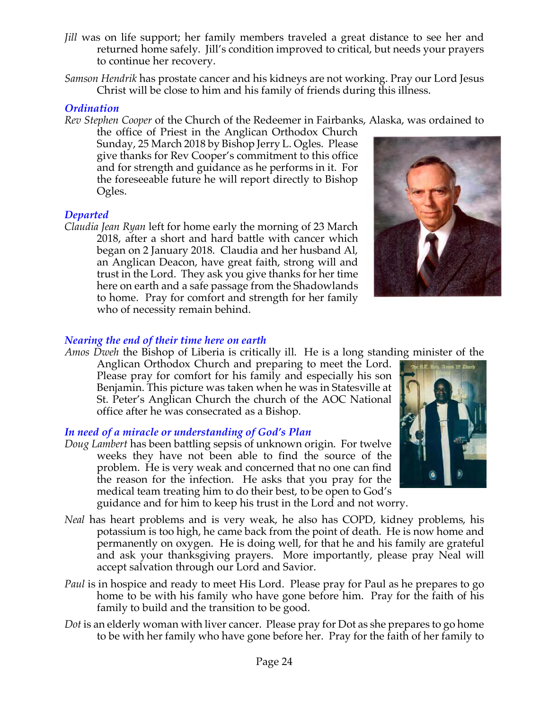- *Jill* was on life support; her family members traveled a great distance to see her and returned home safely. Jill's condition improved to critical, but needs your prayers to continue her recovery.
- *Samson Hendrik* has prostate cancer and his kidneys are not working. Pray our Lord Jesus Christ will be close to him and his family of friends during this illness.

# *Ordination*

*Rev Stephen Cooper* of the Church of the Redeemer in Fairbanks, Alaska, was ordained to

the office of Priest in the Anglican Orthodox Church Sunday, 25 March 2018 by Bishop Jerry L. Ogles. Please give thanks for Rev Cooper's commitment to this office and for strength and guidance as he performs in it. For the foreseeable future he will report directly to Bishop Ogles.



# *Departed*

*Claudia Jean Ryan* left for home early the morning of 23 March 2018, after a short and hard battle with cancer which began on 2 January 2018. Claudia and her husband Al, an Anglican Deacon, have great faith, strong will and trust in the Lord. They ask you give thanks for her time here on earth and a safe passage from the Shadowlands to home. Pray for comfort and strength for her family who of necessity remain behind.

# *Nearing the end of their time here on earth*

*Amos Dweh* the Bishop of Liberia is critically ill. He is a long standing minister of the Anglican Orthodox Church and preparing to meet the Lord. Please pray for comfort for his family and especially his son Benjamin. This picture was taken when he was in Statesville at St. Peter's Anglican Church the church of the AOC National office after he was consecrated as a Bishop.

# *In need of a miracle or understanding of God's Plan*

- *Doug Lambert* has been battling sepsis of unknown origin. For twelve weeks they have not been able to find the source of the problem. He is very weak and concerned that no one can find the reason for the infection. He asks that you pray for the medical team treating him to do their best, to be open to God's guidance and for him to keep his trust in the Lord and not worry.
- *Neal* has heart problems and is very weak, he also has COPD, kidney problems, his potassium is too high, he came back from the point of death. He is now home and permanently on oxygen. He is doing well, for that he and his family are grateful and ask your thanksgiving prayers. More importantly, please pray Neal will accept salvation through our Lord and Savior.
- *Paul* is in hospice and ready to meet His Lord. Please pray for Paul as he prepares to go home to be with his family who have gone before him. Pray for the faith of his family to build and the transition to be good.
- *Dot* is an elderly woman with liver cancer. Please pray for Dot as she prepares to go home to be with her family who have gone before her. Pray for the faith of her family to

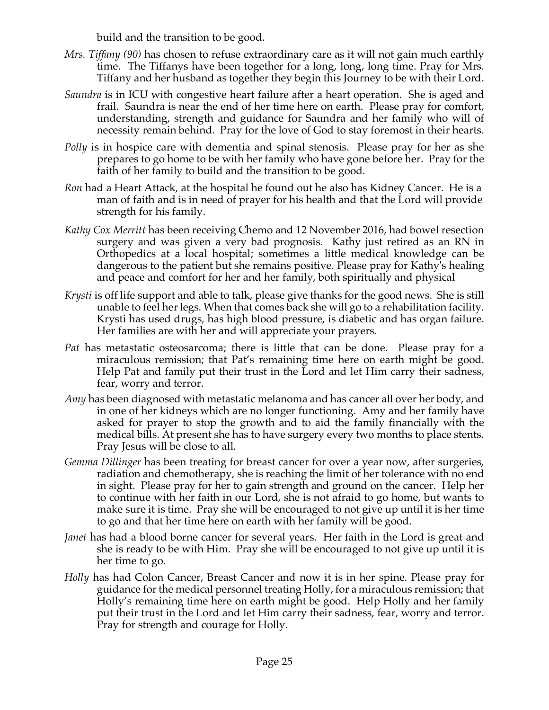build and the transition to be good.

- *Mrs. Tiffany (90)* has chosen to refuse extraordinary care as it will not gain much earthly time. The Tiffanys have been together for a long, long, long time. Pray for Mrs. Tiffany and her husband as together they begin this Journey to be with their Lord.
- *Saundra* is in ICU with congestive heart failure after a heart operation. She is aged and frail. Saundra is near the end of her time here on earth. Please pray for comfort, understanding, strength and guidance for Saundra and her family who will of necessity remain behind. Pray for the love of God to stay foremost in their hearts.
- *Polly* is in hospice care with dementia and spinal stenosis. Please pray for her as she prepares to go home to be with her family who have gone before her. Pray for the faith of her family to build and the transition to be good.
- *Ron* had a Heart Attack, at the hospital he found out he also has Kidney Cancer. He is a man of faith and is in need of prayer for his health and that the Lord will provide strength for his family.
- *Kathy Cox Merritt* has been receiving Chemo and 12 November 2016, had bowel resection surgery and was given a very bad prognosis. Kathy just retired as an RN in Orthopedics at a local hospital; sometimes a little medical knowledge can be dangerous to the patient but she remains positive. Please pray for Kathy's healing and peace and comfort for her and her family, both spiritually and physical
- *Krysti* is off life support and able to talk, please give thanks for the good news. She is still unable to feel her legs. When that comes back she will go to a rehabilitation facility. Krysti has used drugs, has high blood pressure, is diabetic and has organ failure. Her families are with her and will appreciate your prayers.
- *Pat* has metastatic osteosarcoma; there is little that can be done. Please pray for a miraculous remission; that Pat's remaining time here on earth might be good. Help Pat and family put their trust in the Lord and let Him carry their sadness, fear, worry and terror.
- *Amy* has been diagnosed with metastatic melanoma and has cancer all over her body, and in one of her kidneys which are no longer functioning. Amy and her family have asked for prayer to stop the growth and to aid the family financially with the medical bills. At present she has to have surgery every two months to place stents. Pray Jesus will be close to all.
- *Gemma Dillinger* has been treating for breast cancer for over a year now, after surgeries, radiation and chemotherapy, she is reaching the limit of her tolerance with no end in sight. Please pray for her to gain strength and ground on the cancer. Help her to continue with her faith in our Lord, she is not afraid to go home, but wants to make sure it is time. Pray she will be encouraged to not give up until it is her time to go and that her time here on earth with her family will be good.
- *Janet* has had a blood borne cancer for several years. Her faith in the Lord is great and she is ready to be with Him. Pray she will be encouraged to not give up until it is her time to go.
- *Holly* has had Colon Cancer, Breast Cancer and now it is in her spine. Please pray for guidance for the medical personnel treating Holly, for a miraculous remission; that Holly's remaining time here on earth might be good. Help Holly and her family put their trust in the Lord and let Him carry their sadness, fear, worry and terror. Pray for strength and courage for Holly.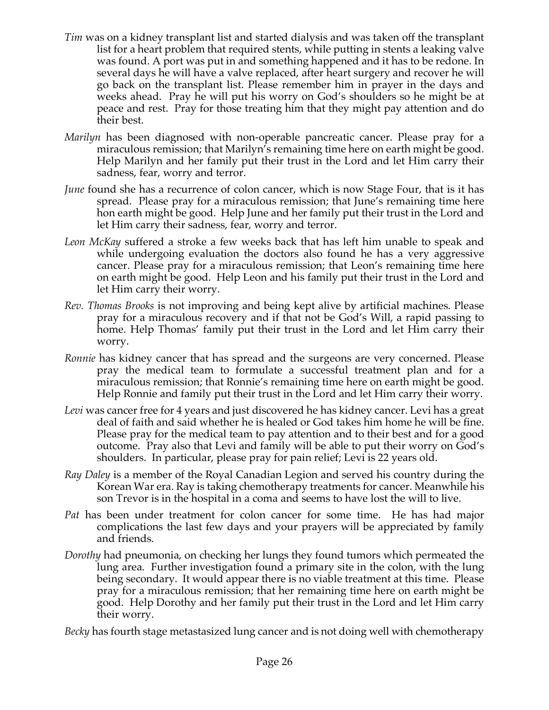- *Tim* was on a kidney transplant list and started dialysis and was taken off the transplant list for a heart problem that required stents, while putting in stents a leaking valve was found. A port was put in and something happened and it has to be redone. In several days he will have a valve replaced, after heart surgery and recover he will go back on the transplant list. Please remember him in prayer in the days and weeks ahead. Pray he will put his worry on God's shoulders so he might be at peace and rest. Pray for those treating him that they might pay attention and do their best.
- *Marilyn* has been diagnosed with non-operable pancreatic cancer. Please pray for a miraculous remission; that Marilyn's remaining time here on earth might be good. Help Marilyn and her family put their trust in the Lord and let Him carry their sadness, fear, worry and terror.
- *June* found she has a recurrence of colon cancer, which is now Stage Four, that is it has spread. Please pray for a miraculous remission; that June's remaining time here hon earth might be good. Help June and her family put their trust in the Lord and let Him carry their sadness, fear, worry and terror.
- *Leon McKay* suffered a stroke a few weeks back that has left him unable to speak and while undergoing evaluation the doctors also found he has a very aggressive cancer. Please pray for a miraculous remission; that Leon's remaining time here on earth might be good. Help Leon and his family put their trust in the Lord and let Him carry their worry.
- *Rev. Thomas Brooks* is not improving and being kept alive by artificial machines. Please pray for a miraculous recovery and if that not be God's Will, a rapid passing to home. Help Thomas' family put their trust in the Lord and let Him carry their worry.
- *Ronnie* has kidney cancer that has spread and the surgeons are very concerned. Please pray the medical team to formulate a successful treatment plan and for a miraculous remission; that Ronnie's remaining time here on earth might be good. Help Ronnie and family put their trust in the Lord and let Him carry their worry.
- *Levi* was cancer free for 4 years and just discovered he has kidney cancer. Levi has a great deal of faith and said whether he is healed or God takes him home he will be fine. Please pray for the medical team to pay attention and to their best and for a good outcome. Pray also that Levi and family will be able to put their worry on God's shoulders. In particular, please pray for pain relief; Levi is 22 years old.
- *Ray Daley* is a member of the Royal Canadian Legion and served his country during the Korean War era. Ray is taking chemotherapy treatments for cancer. Meanwhile his son Trevor is in the hospital in a coma and seems to have lost the will to live.
- *Pat* has been under treatment for colon cancer for some time. He has had major complications the last few days and your prayers will be appreciated by family and friends.
- *Dorothy* had pneumonia, on checking her lungs they found tumors which permeated the lung area. Further investigation found a primary site in the colon, with the lung being secondary. It would appear there is no viable treatment at this time. Please pray for a miraculous remission; that her remaining time here on earth might be good. Help Dorothy and her family put their trust in the Lord and let Him carry their worry.

*Becky* has fourth stage metastasized lung cancer and is not doing well with chemotherapy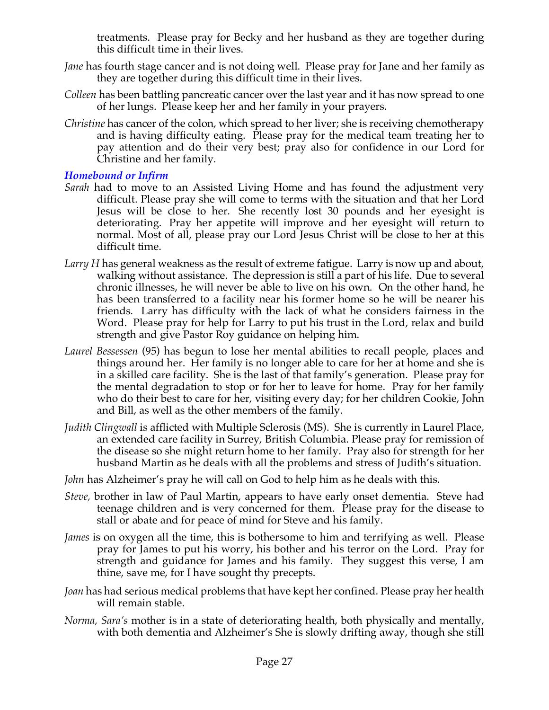treatments. Please pray for Becky and her husband as they are together during this difficult time in their lives.

- *Jane* has fourth stage cancer and is not doing well. Please pray for Jane and her family as they are together during this difficult time in their lives.
- *Colleen* has been battling pancreatic cancer over the last year and it has now spread to one of her lungs. Please keep her and her family in your prayers.
- *Christine* has cancer of the colon, which spread to her liver; she is receiving chemotherapy and is having difficulty eating. Please pray for the medical team treating her to pay attention and do their very best; pray also for confidence in our Lord for Christine and her family.

# *Homebound or Infirm*

- *Sarah* had to move to an Assisted Living Home and has found the adjustment very difficult. Please pray she will come to terms with the situation and that her Lord Jesus will be close to her. She recently lost 30 pounds and her eyesight is deteriorating. Pray her appetite will improve and her eyesight will return to normal. Most of all, please pray our Lord Jesus Christ will be close to her at this difficult time.
- *Larry H* has general weakness as the result of extreme fatigue. Larry is now up and about, walking without assistance. The depression is still a part of his life. Due to several chronic illnesses, he will never be able to live on his own. On the other hand, he has been transferred to a facility near his former home so he will be nearer his friends. Larry has difficulty with the lack of what he considers fairness in the Word. Please pray for help for Larry to put his trust in the Lord, relax and build strength and give Pastor Roy guidance on helping him.
- *Laurel Bessessen* (95) has begun to lose her mental abilities to recall people, places and things around her. Her family is no longer able to care for her at home and she is in a skilled care facility. She is the last of that family's generation. Please pray for the mental degradation to stop or for her to leave for home. Pray for her family who do their best to care for her, visiting every day; for her children Cookie, John and Bill, as well as the other members of the family.
- *Judith Clingwall* is afflicted with Multiple Sclerosis (MS). She is currently in Laurel Place, an extended care facility in Surrey, British Columbia. Please pray for remission of the disease so she might return home to her family. Pray also for strength for her husband Martin as he deals with all the problems and stress of Judith's situation.
- *John* has Alzheimer's pray he will call on God to help him as he deals with this.
- *Steve,* brother in law of Paul Martin, appears to have early onset dementia. Steve had teenage children and is very concerned for them. Please pray for the disease to stall or abate and for peace of mind for Steve and his family.
- *James* is on oxygen all the time, this is bothersome to him and terrifying as well. Please pray for James to put his worry, his bother and his terror on the Lord. Pray for strength and guidance for James and his family. They suggest this verse, I am thine, save me, for I have sought thy precepts.
- *Joan* has had serious medical problems that have kept her confined. Please pray her health will remain stable.
- *Norma, Sara's* mother is in a state of deteriorating health, both physically and mentally, with both dementia and Alzheimer's She is slowly drifting away, though she still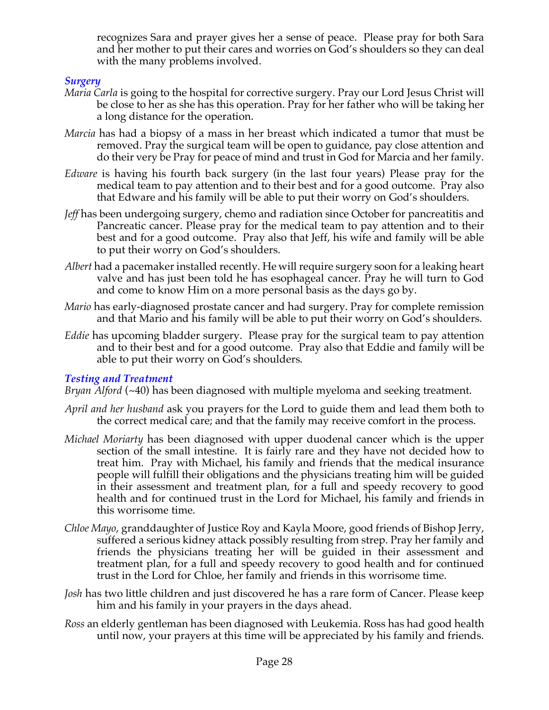recognizes Sara and prayer gives her a sense of peace. Please pray for both Sara and her mother to put their cares and worries on God's shoulders so they can deal with the many problems involved.

# *Surgery*

- *Maria Carla* is going to the hospital for corrective surgery. Pray our Lord Jesus Christ will be close to her as she has this operation. Pray for her father who will be taking her a long distance for the operation.
- *Marcia* has had a biopsy of a mass in her breast which indicated a tumor that must be removed. Pray the surgical team will be open to guidance, pay close attention and do their very be Pray for peace of mind and trust in God for Marcia and her family.
- *Edware* is having his fourth back surgery (in the last four years) Please pray for the medical team to pay attention and to their best and for a good outcome. Pray also that Edware and his family will be able to put their worry on God's shoulders.
- *Jeff* has been undergoing surgery, chemo and radiation since October for pancreatitis and Pancreatic cancer. Please pray for the medical team to pay attention and to their best and for a good outcome. Pray also that Jeff, his wife and family will be able to put their worry on God's shoulders.
- *Albert* had a pacemaker installed recently. He will require surgery soon for a leaking heart valve and has just been told he has esophageal cancer. Pray he will turn to God and come to know Him on a more personal basis as the days go by.
- *Mario* has early-diagnosed prostate cancer and had surgery. Pray for complete remission and that Mario and his family will be able to put their worry on God's shoulders.
- *Eddie* has upcoming bladder surgery. Please pray for the surgical team to pay attention and to their best and for a good outcome. Pray also that Eddie and family will be able to put their worry on God's shoulders.

# *Testing and Treatment*

*Bryan Alford* (~40) has been diagnosed with multiple myeloma and seeking treatment.

- *April and her husband* ask you prayers for the Lord to guide them and lead them both to the correct medical care; and that the family may receive comfort in the process.
- *Michael Moriarty* has been diagnosed with upper duodenal cancer which is the upper section of the small intestine. It is fairly rare and they have not decided how to treat him. Pray with Michael, his family and friends that the medical insurance people will fulfill their obligations and the physicians treating him will be guided in their assessment and treatment plan, for a full and speedy recovery to good health and for continued trust in the Lord for Michael, his family and friends in this worrisome time.
- *Chloe Mayo*, granddaughter of Justice Roy and Kayla Moore, good friends of Bishop Jerry, suffered a serious kidney attack possibly resulting from strep. Pray her family and friends the physicians treating her will be guided in their assessment and treatment plan, for a full and speedy recovery to good health and for continued trust in the Lord for Chloe, her family and friends in this worrisome time.
- *Josh* has two little children and just discovered he has a rare form of Cancer. Please keep him and his family in your prayers in the days ahead.
- *Ross* an elderly gentleman has been diagnosed with Leukemia. Ross has had good health until now, your prayers at this time will be appreciated by his family and friends.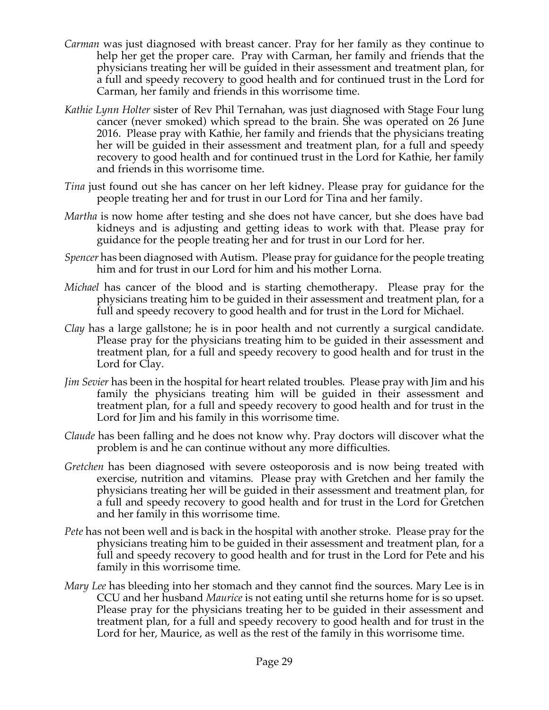- *Carman* was just diagnosed with breast cancer. Pray for her family as they continue to help her get the proper care. Pray with Carman, her family and friends that the physicians treating her will be guided in their assessment and treatment plan, for a full and speedy recovery to good health and for continued trust in the Lord for Carman, her family and friends in this worrisome time.
- *Kathie Lynn Holter* sister of Rev Phil Ternahan, was just diagnosed with Stage Four lung cancer (never smoked) which spread to the brain. She was operated on 26 June 2016. Please pray with Kathie, her family and friends that the physicians treating her will be guided in their assessment and treatment plan, for a full and speedy recovery to good health and for continued trust in the Lord for Kathie, her family and friends in this worrisome time.
- *Tina* just found out she has cancer on her left kidney. Please pray for guidance for the people treating her and for trust in our Lord for Tina and her family.
- *Martha* is now home after testing and she does not have cancer, but she does have bad kidneys and is adjusting and getting ideas to work with that. Please pray for guidance for the people treating her and for trust in our Lord for her.
- *Spencer* has been diagnosed with Autism. Please pray for guidance for the people treating him and for trust in our Lord for him and his mother Lorna.
- *Michael* has cancer of the blood and is starting chemotherapy. Please pray for the physicians treating him to be guided in their assessment and treatment plan, for a full and speedy recovery to good health and for trust in the Lord for Michael.
- *Clay* has a large gallstone; he is in poor health and not currently a surgical candidate. Please pray for the physicians treating him to be guided in their assessment and treatment plan, for a full and speedy recovery to good health and for trust in the Lord for Clay.
- *Jim Sevier* has been in the hospital for heart related troubles. Please pray with Jim and his family the physicians treating him will be guided in their assessment and treatment plan, for a full and speedy recovery to good health and for trust in the Lord for Jim and his family in this worrisome time.
- *Claude* has been falling and he does not know why. Pray doctors will discover what the problem is and he can continue without any more difficulties.
- *Gretchen* has been diagnosed with severe osteoporosis and is now being treated with exercise, nutrition and vitamins. Please pray with Gretchen and her family the physicians treating her will be guided in their assessment and treatment plan, for a full and speedy recovery to good health and for trust in the Lord for Gretchen and her family in this worrisome time.
- *Pete* has not been well and is back in the hospital with another stroke. Please pray for the physicians treating him to be guided in their assessment and treatment plan, for a full and speedy recovery to good health and for trust in the Lord for Pete and his family in this worrisome time.
- *Mary Lee* has bleeding into her stomach and they cannot find the sources. Mary Lee is in CCU and her husband *Maurice* is not eating until she returns home for is so upset. Please pray for the physicians treating her to be guided in their assessment and treatment plan, for a full and speedy recovery to good health and for trust in the Lord for her, Maurice, as well as the rest of the family in this worrisome time.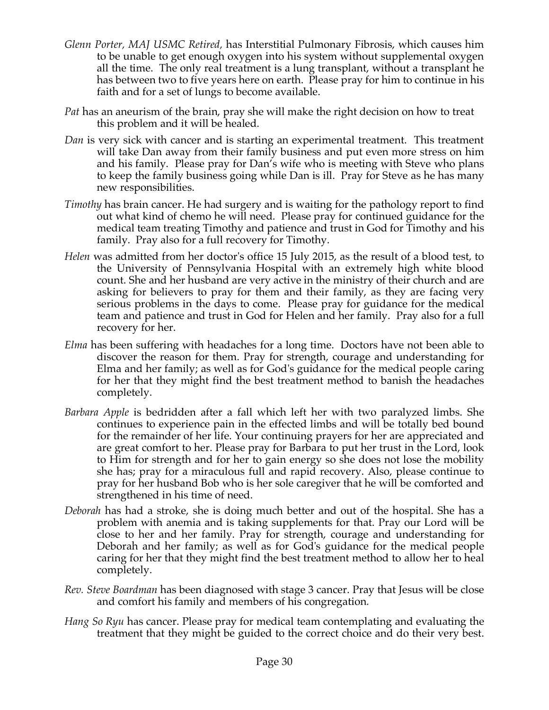- *Glenn Porter, MAJ USMC Retired,* has Interstitial Pulmonary Fibrosis, which causes him to be unable to get enough oxygen into his system without supplemental oxygen all the time. The only real treatment is a lung transplant, without a transplant he has between two to five years here on earth. Please pray for him to continue in his faith and for a set of lungs to become available.
- *Pat* has an aneurism of the brain, pray she will make the right decision on how to treat this problem and it will be healed.
- *Dan* is very sick with cancer and is starting an experimental treatment. This treatment will take Dan away from their family business and put even more stress on him and his family. Please pray for Dan's wife who is meeting with Steve who plans to keep the family business going while Dan is ill. Pray for Steve as he has many new responsibilities.
- *Timothy* has brain cancer. He had surgery and is waiting for the pathology report to find out what kind of chemo he will need. Please pray for continued guidance for the medical team treating Timothy and patience and trust in God for Timothy and his family. Pray also for a full recovery for Timothy.
- *Helen* was admitted from her doctor's office 15 July 2015, as the result of a blood test, to the University of Pennsylvania Hospital with an extremely high white blood count. She and her husband are very active in the ministry of their church and are asking for believers to pray for them and their family, as they are facing very serious problems in the days to come. Please pray for guidance for the medical team and patience and trust in God for Helen and her family. Pray also for a full recovery for her.
- *Elma* has been suffering with headaches for a long time. Doctors have not been able to discover the reason for them. Pray for strength, courage and understanding for Elma and her family; as well as for God's guidance for the medical people caring for her that they might find the best treatment method to banish the headaches completely.
- *Barbara Apple* is bedridden after a fall which left her with two paralyzed limbs. She continues to experience pain in the effected limbs and will be totally bed bound for the remainder of her life. Your continuing prayers for her are appreciated and are great comfort to her. Please pray for Barbara to put her trust in the Lord, look to Him for strength and for her to gain energy so she does not lose the mobility she has; pray for a miraculous full and rapid recovery. Also, please continue to pray for her husband Bob who is her sole caregiver that he will be comforted and strengthened in his time of need.
- *Deborah* has had a stroke, she is doing much better and out of the hospital. She has a problem with anemia and is taking supplements for that. Pray our Lord will be close to her and her family. Pray for strength, courage and understanding for Deborah and her family; as well as for God's guidance for the medical people caring for her that they might find the best treatment method to allow her to heal completely.
- *Rev. Steve Boardman* has been diagnosed with stage 3 cancer. Pray that Jesus will be close and comfort his family and members of his congregation*.*
- *Hang So Ryu* has cancer. Please pray for medical team contemplating and evaluating the treatment that they might be guided to the correct choice and do their very best.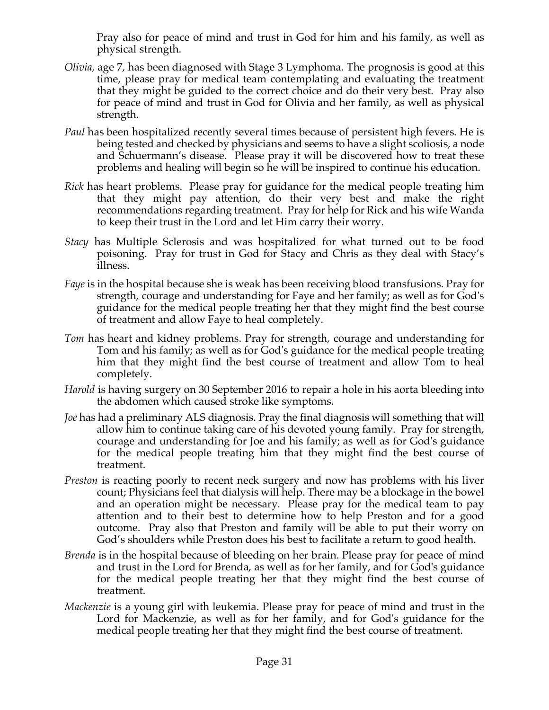Pray also for peace of mind and trust in God for him and his family, as well as physical strength.

- *Olivia,* age 7, has been diagnosed with Stage 3 Lymphoma. The prognosis is good at this time, please pray for medical team contemplating and evaluating the treatment that they might be guided to the correct choice and do their very best. Pray also for peace of mind and trust in God for Olivia and her family, as well as physical strength.
- Paul has been hospitalized recently several times because of persistent high fevers. He is being tested and checked by physicians and seems to have a slight scoliosis, a node and Schuermann's disease. Please pray it will be discovered how to treat these problems and healing will begin so he will be inspired to continue his education.
- *Rick* has heart problems. Please pray for guidance for the medical people treating him that they might pay attention, do their very best and make the right recommendations regarding treatment. Pray for help for Rick and his wife Wanda to keep their trust in the Lord and let Him carry their worry.
- *Stacy* has Multiple Sclerosis and was hospitalized for what turned out to be food poisoning. Pray for trust in God for Stacy and Chris as they deal with Stacy's illness.
- *Faye* is in the hospital because she is weak has been receiving blood transfusions. Pray for strength, courage and understanding for Faye and her family; as well as for God's guidance for the medical people treating her that they might find the best course of treatment and allow Faye to heal completely.
- *Tom* has heart and kidney problems. Pray for strength, courage and understanding for Tom and his family; as well as for God's guidance for the medical people treating him that they might find the best course of treatment and allow Tom to heal completely.
- *Harold* is having surgery on 30 September 2016 to repair a hole in his aorta bleeding into the abdomen which caused stroke like symptoms.
- *Joe* has had a preliminary ALS diagnosis. Pray the final diagnosis will something that will allow him to continue taking care of his devoted young family. Pray for strength, courage and understanding for Joe and his family; as well as for God's guidance for the medical people treating him that they might find the best course of treatment.
- *Preston* is reacting poorly to recent neck surgery and now has problems with his liver count; Physicians feel that dialysis will help. There may be a blockage in the bowel and an operation might be necessary. Please pray for the medical team to pay attention and to their best to determine how to help Preston and for a good outcome. Pray also that Preston and family will be able to put their worry on God's shoulders while Preston does his best to facilitate a return to good health.
- *Brenda* is in the hospital because of bleeding on her brain. Please pray for peace of mind and trust in the Lord for Brenda, as well as for her family, and for God's guidance for the medical people treating her that they might find the best course of treatment.
- *Mackenzie* is a young girl with leukemia. Please pray for peace of mind and trust in the Lord for Mackenzie, as well as for her family, and for God's guidance for the medical people treating her that they might find the best course of treatment.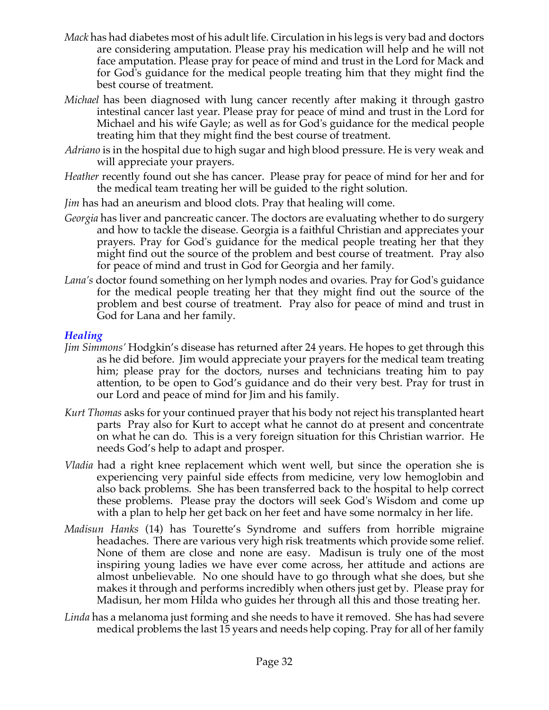- *Mack* has had diabetes most of his adult life. Circulation in his legs is very bad and doctors are considering amputation. Please pray his medication will help and he will not face amputation. Please pray for peace of mind and trust in the Lord for Mack and for God's guidance for the medical people treating him that they might find the best course of treatment.
- *Michael* has been diagnosed with lung cancer recently after making it through gastro intestinal cancer last year. Please pray for peace of mind and trust in the Lord for Michael and his wife Gayle; as well as for God's guidance for the medical people treating him that they might find the best course of treatment.
- *Adriano* is in the hospital due to high sugar and high blood pressure. He is very weak and will appreciate your prayers.
- *Heather* recently found out she has cancer. Please pray for peace of mind for her and for the medical team treating her will be guided to the right solution.
- *Jim* has had an aneurism and blood clots. Pray that healing will come.
- *Georgia* has liver and pancreatic cancer. The doctors are evaluating whether to do surgery and how to tackle the disease. Georgia is a faithful Christian and appreciates your prayers. Pray for God's guidance for the medical people treating her that they might find out the source of the problem and best course of treatment. Pray also for peace of mind and trust in God for Georgia and her family.
- *Lana's* doctor found something on her lymph nodes and ovaries. Pray for God's guidance for the medical people treating her that they might find out the source of the problem and best course of treatment. Pray also for peace of mind and trust in God for Lana and her family.

# *Healing*

- *Jim Simmons'* Hodgkin's disease has returned after 24 years. He hopes to get through this as he did before. Jim would appreciate your prayers for the medical team treating him; please pray for the doctors, nurses and technicians treating him to pay attention, to be open to God's guidance and do their very best. Pray for trust in our Lord and peace of mind for Jim and his family.
- *Kurt Thomas* asks for your continued prayer that his body not reject his transplanted heart parts Pray also for Kurt to accept what he cannot do at present and concentrate on what he can do. This is a very foreign situation for this Christian warrior. He needs God's help to adapt and prosper.
- *Vladia* had a right knee replacement which went well, but since the operation she is experiencing very painful side effects from medicine, very low hemoglobin and also back problems. She has been transferred back to the hospital to help correct these problems. Please pray the doctors will seek God's Wisdom and come up with a plan to help her get back on her feet and have some normalcy in her life.
- *Madisun Hanks* (14) has Tourette's Syndrome and suffers from horrible migraine headaches. There are various very high risk treatments which provide some relief. None of them are close and none are easy. Madisun is truly one of the most inspiring young ladies we have ever come across, her attitude and actions are almost unbelievable. No one should have to go through what she does, but she makes it through and performs incredibly when others just get by. Please pray for Madisun, her mom Hilda who guides her through all this and those treating her.
- *Linda* has a melanoma just forming and she needs to have it removed. She has had severe medical problems the last 15 years and needs help coping. Pray for all of her family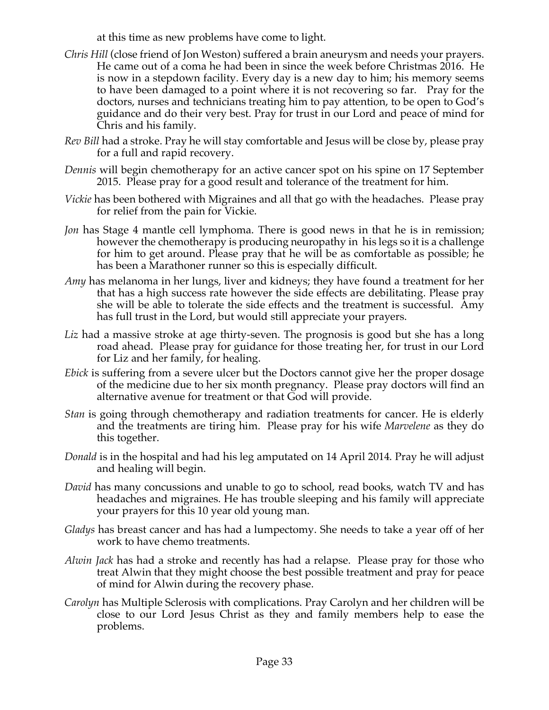at this time as new problems have come to light.

- *Chris Hill* (close friend of Jon Weston) suffered a brain aneurysm and needs your prayers. He came out of a coma he had been in since the week before Christmas 2016. He is now in a stepdown facility. Every day is a new day to him; his memory seems to have been damaged to a point where it is not recovering so far. Pray for the doctors, nurses and technicians treating him to pay attention, to be open to God's guidance and do their very best. Pray for trust in our Lord and peace of mind for Chris and his family.
- *Rev Bill* had a stroke. Pray he will stay comfortable and Jesus will be close by, please pray for a full and rapid recovery.
- *Dennis* will begin chemotherapy for an active cancer spot on his spine on 17 September 2015. Please pray for a good result and tolerance of the treatment for him.
- *Vickie* has been bothered with Migraines and all that go with the headaches. Please pray for relief from the pain for Vickie.
- *Jon* has Stage 4 mantle cell lymphoma. There is good news in that he is in remission; however the chemotherapy is producing neuropathy in his legs so it is a challenge for him to get around. Please pray that he will be as comfortable as possible; he has been a Marathoner runner so this is especially difficult.
- *Amy* has melanoma in her lungs, liver and kidneys; they have found a treatment for her that has a high success rate however the side effects are debilitating. Please pray she will be able to tolerate the side effects and the treatment is successful. Amy has full trust in the Lord, but would still appreciate your prayers.
- *Liz* had a massive stroke at age thirty-seven. The prognosis is good but she has a long road ahead. Please pray for guidance for those treating her, for trust in our Lord for Liz and her family, for healing.
- *Ebick* is suffering from a severe ulcer but the Doctors cannot give her the proper dosage of the medicine due to her six month pregnancy. Please pray doctors will find an alternative avenue for treatment or that God will provide.
- *Stan* is going through chemotherapy and radiation treatments for cancer. He is elderly and the treatments are tiring him. Please pray for his wife *Marvelene* as they do this together.
- *Donald* is in the hospital and had his leg amputated on 14 April 2014. Pray he will adjust and healing will begin.
- *David* has many concussions and unable to go to school, read books, watch TV and has headaches and migraines. He has trouble sleeping and his family will appreciate your prayers for this 10 year old young man.
- *Gladys* has breast cancer and has had a lumpectomy. She needs to take a year off of her work to have chemo treatments.
- *Alwin Jack* has had a stroke and recently has had a relapse. Please pray for those who treat Alwin that they might choose the best possible treatment and pray for peace of mind for Alwin during the recovery phase.
- *Carolyn* has Multiple Sclerosis with complications. Pray Carolyn and her children will be close to our Lord Jesus Christ as they and family members help to ease the problems.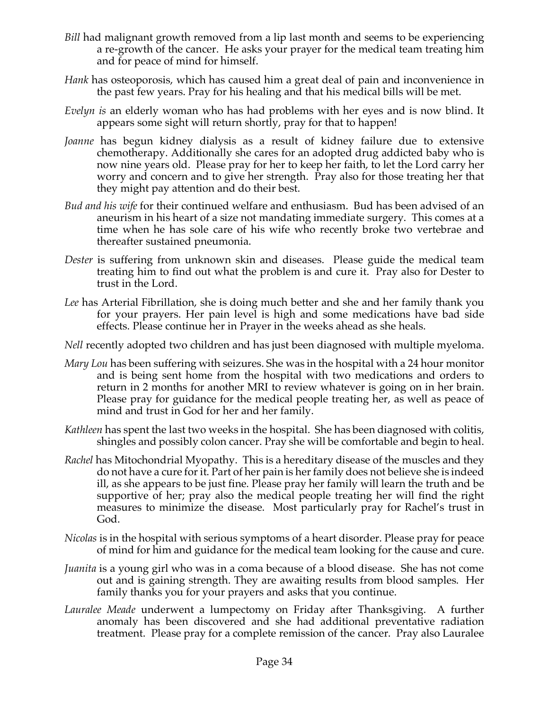- *Bill* had malignant growth removed from a lip last month and seems to be experiencing a re-growth of the cancer. He asks your prayer for the medical team treating him and for peace of mind for himself.
- *Hank* has osteoporosis, which has caused him a great deal of pain and inconvenience in the past few years. Pray for his healing and that his medical bills will be met.
- *Evelyn is* an elderly woman who has had problems with her eyes and is now blind. It appears some sight will return shortly, pray for that to happen!
- *Joanne* has begun kidney dialysis as a result of kidney failure due to extensive chemotherapy. Additionally she cares for an adopted drug addicted baby who is now nine years old. Please pray for her to keep her faith, to let the Lord carry her worry and concern and to give her strength. Pray also for those treating her that they might pay attention and do their best.
- *Bud and his wife* for their continued welfare and enthusiasm. Bud has been advised of an aneurism in his heart of a size not mandating immediate surgery. This comes at a time when he has sole care of his wife who recently broke two vertebrae and thereafter sustained pneumonia.
- *Dester* is suffering from unknown skin and diseases. Please guide the medical team treating him to find out what the problem is and cure it. Pray also for Dester to trust in the Lord.
- *Lee* has Arterial Fibrillation, she is doing much better and she and her family thank you for your prayers. Her pain level is high and some medications have bad side effects. Please continue her in Prayer in the weeks ahead as she heals.
- *Nell* recently adopted two children and has just been diagnosed with multiple myeloma.
- *Mary Lou* has been suffering with seizures. She was in the hospital with a 24 hour monitor and is being sent home from the hospital with two medications and orders to return in 2 months for another MRI to review whatever is going on in her brain. Please pray for guidance for the medical people treating her, as well as peace of mind and trust in God for her and her family.
- *Kathleen* has spent the last two weeks in the hospital. She has been diagnosed with colitis, shingles and possibly colon cancer. Pray she will be comfortable and begin to heal.
- *Rachel* has Mitochondrial Myopathy. This is a hereditary disease of the muscles and they do not have a cure for it. Part of her pain is her family does not believe she is indeed ill, as she appears to be just fine. Please pray her family will learn the truth and be supportive of her; pray also the medical people treating her will find the right measures to minimize the disease. Most particularly pray for Rachel's trust in God.
- *Nicolas* is in the hospital with serious symptoms of a heart disorder. Please pray for peace of mind for him and guidance for the medical team looking for the cause and cure.
- *Juanita* is a young girl who was in a coma because of a blood disease. She has not come out and is gaining strength. They are awaiting results from blood samples. Her family thanks you for your prayers and asks that you continue.
- *Lauralee Meade* underwent a lumpectomy on Friday after Thanksgiving. A further anomaly has been discovered and she had additional preventative radiation treatment. Please pray for a complete remission of the cancer. Pray also Lauralee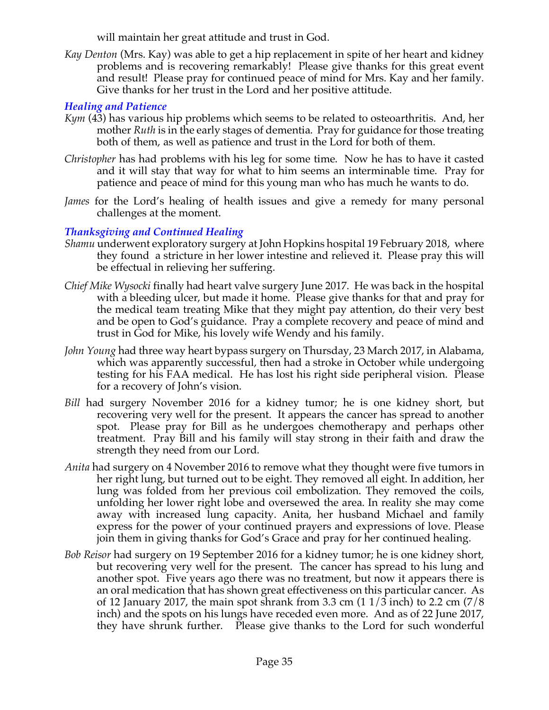will maintain her great attitude and trust in God.

*Kay Denton* (Mrs. Kay) was able to get a hip replacement in spite of her heart and kidney problems and is recovering remarkably! Please give thanks for this great event and result! Please pray for continued peace of mind for Mrs. Kay and her family. Give thanks for her trust in the Lord and her positive attitude.

# *Healing and Patience*

- *Kym* (43) has various hip problems which seems to be related to osteoarthritis. And, her mother *Ruth* is in the early stages of dementia. Pray for guidance for those treating both of them, as well as patience and trust in the Lord for both of them.
- *Christopher* has had problems with his leg for some time. Now he has to have it casted and it will stay that way for what to him seems an interminable time. Pray for patience and peace of mind for this young man who has much he wants to do.
- *James* for the Lord's healing of health issues and give a remedy for many personal challenges at the moment.

# *Thanksgiving and Continued Healing*

- *Shamu* underwent exploratory surgery at John Hopkins hospital 19 February 2018, where they found a stricture in her lower intestine and relieved it. Please pray this will be effectual in relieving her suffering.
- *Chief Mike Wysocki* finally had heart valve surgery June 2017. He was back in the hospital with a bleeding ulcer, but made it home. Please give thanks for that and pray for the medical team treating Mike that they might pay attention, do their very best and be open to God's guidance. Pray a complete recovery and peace of mind and trust in God for Mike, his lovely wife Wendy and his family.
- *John Young* had three way heart bypass surgery on Thursday, 23 March 2017, in Alabama, which was apparently successful, then had a stroke in October while undergoing testing for his FAA medical. He has lost his right side peripheral vision. Please for a recovery of John's vision.
- *Bill* had surgery November 2016 for a kidney tumor; he is one kidney short, but recovering very well for the present. It appears the cancer has spread to another spot. Please pray for Bill as he undergoes chemotherapy and perhaps other treatment. Pray Bill and his family will stay strong in their faith and draw the strength they need from our Lord.
- *Anita* had surgery on 4 November 2016 to remove what they thought were five tumors in her right lung, but turned out to be eight. They removed all eight. In addition, her lung was folded from her previous coil embolization. They removed the coils, unfolding her lower right lobe and oversewed the area. In reality she may come away with increased lung capacity. Anita, her husband Michael and family express for the power of your continued prayers and expressions of love. Please join them in giving thanks for God's Grace and pray for her continued healing.
- *Bob Reisor* had surgery on 19 September 2016 for a kidney tumor; he is one kidney short, but recovering very well for the present. The cancer has spread to his lung and another spot. Five years ago there was no treatment, but now it appears there is an oral medication that has shown great effectiveness on this particular cancer. As of 12 January 2017, the main spot shrank from 3.3 cm  $(11/3 \text{ inch})$  to 2.2 cm  $(7/8 \text{ ft})$ inch) and the spots on his lungs have receded even more. And as of 22 June 2017, they have shrunk further. Please give thanks to the Lord for such wonderful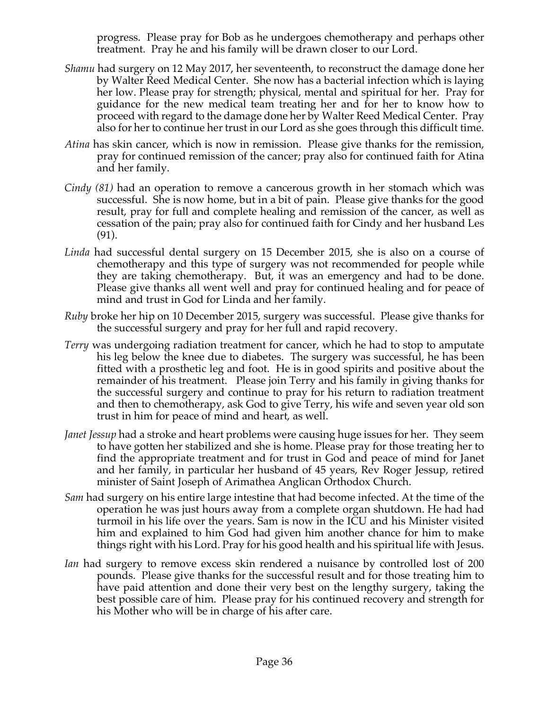progress. Please pray for Bob as he undergoes chemotherapy and perhaps other treatment. Pray he and his family will be drawn closer to our Lord.

- *Shamu* had surgery on 12 May 2017, her seventeenth, to reconstruct the damage done her by Walter Reed Medical Center. She now has a bacterial infection which is laying her low. Please pray for strength; physical, mental and spiritual for her. Pray for guidance for the new medical team treating her and for her to know how to proceed with regard to the damage done her by Walter Reed Medical Center. Pray also for her to continue her trust in our Lord as she goes through this difficult time.
- *Atina* has skin cancer, which is now in remission. Please give thanks for the remission, pray for continued remission of the cancer; pray also for continued faith for Atina and her family.
- *Cindy (81)* had an operation to remove a cancerous growth in her stomach which was successful. She is now home, but in a bit of pain. Please give thanks for the good result, pray for full and complete healing and remission of the cancer, as well as cessation of the pain; pray also for continued faith for Cindy and her husband Les (91).
- *Linda* had successful dental surgery on 15 December 2015, she is also on a course of chemotherapy and this type of surgery was not recommended for people while they are taking chemotherapy. But, it was an emergency and had to be done. Please give thanks all went well and pray for continued healing and for peace of mind and trust in God for Linda and her family.
- *Ruby* broke her hip on 10 December 2015, surgery was successful. Please give thanks for the successful surgery and pray for her full and rapid recovery.
- *Terry* was undergoing radiation treatment for cancer, which he had to stop to amputate his leg below the knee due to diabetes. The surgery was successful, he has been fitted with a prosthetic leg and foot. He is in good spirits and positive about the remainder of his treatment. Please join Terry and his family in giving thanks for the successful surgery and continue to pray for his return to radiation treatment and then to chemotherapy, ask God to give Terry, his wife and seven year old son trust in him for peace of mind and heart, as well.
- *Janet Jessup* had a stroke and heart problems were causing huge issues for her. They seem to have gotten her stabilized and she is home. Please pray for those treating her to find the appropriate treatment and for trust in God and peace of mind for Janet and her family, in particular her husband of 45 years, Rev Roger Jessup, retired minister of Saint Joseph of Arimathea Anglican Orthodox Church.
- *Sam* had surgery on his entire large intestine that had become infected. At the time of the operation he was just hours away from a complete organ shutdown. He had had turmoil in his life over the years. Sam is now in the ICU and his Minister visited him and explained to him God had given him another chance for him to make things right with his Lord. Pray for his good health and his spiritual life with Jesus.
- *Ian* had surgery to remove excess skin rendered a nuisance by controlled lost of 200 pounds. Please give thanks for the successful result and for those treating him to have paid attention and done their very best on the lengthy surgery, taking the best possible care of him. Please pray for his continued recovery and strength for his Mother who will be in charge of his after care.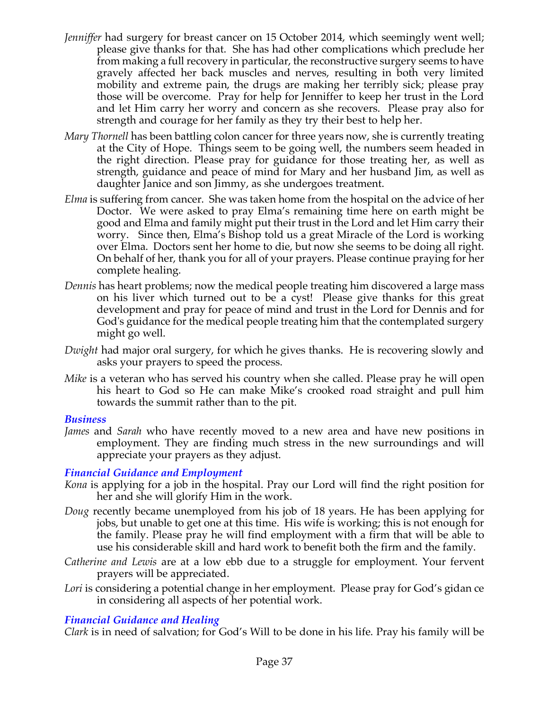- *Jenniffer* had surgery for breast cancer on 15 October 2014, which seemingly went well; please give thanks for that. She has had other complications which preclude her from making a full recovery in particular, the reconstructive surgery seems to have gravely affected her back muscles and nerves, resulting in both very limited mobility and extreme pain, the drugs are making her terribly sick; please pray those will be overcome. Pray for help for Jenniffer to keep her trust in the Lord and let Him carry her worry and concern as she recovers. Please pray also for strength and courage for her family as they try their best to help her.
- *Mary Thornell* has been battling colon cancer for three years now, she is currently treating at the City of Hope. Things seem to be going well, the numbers seem headed in the right direction. Please pray for guidance for those treating her, as well as strength, guidance and peace of mind for Mary and her husband Jim, as well as daughter Janice and son Jimmy, as she undergoes treatment.
- *Elma* is suffering from cancer. She was taken home from the hospital on the advice of her Doctor. We were asked to pray Elma's remaining time here on earth might be good and Elma and family might put their trust in the Lord and let Him carry their worry. Since then, Elma's Bishop told us a great Miracle of the Lord is working over Elma. Doctors sent her home to die, but now she seems to be doing all right. On behalf of her, thank you for all of your prayers. Please continue praying for her complete healing.
- *Dennis* has heart problems; now the medical people treating him discovered a large mass on his liver which turned out to be a cyst! Please give thanks for this great development and pray for peace of mind and trust in the Lord for Dennis and for God's guidance for the medical people treating him that the contemplated surgery might go well.
- *Dwight* had major oral surgery, for which he gives thanks. He is recovering slowly and asks your prayers to speed the process.
- *Mike* is a veteran who has served his country when she called. Please pray he will open his heart to God so He can make Mike's crooked road straight and pull him towards the summit rather than to the pit.

## *Business*

*James* and *Sarah* who have recently moved to a new area and have new positions in employment. They are finding much stress in the new surroundings and will appreciate your prayers as they adjust.

# *Financial Guidance and Employment*

- *Kona* is applying for a job in the hospital. Pray our Lord will find the right position for her and she will glorify Him in the work.
- *Doug* recently became unemployed from his job of 18 years. He has been applying for jobs, but unable to get one at this time. His wife is working; this is not enough for the family. Please pray he will find employment with a firm that will be able to use his considerable skill and hard work to benefit both the firm and the family.
- *Catherine and Lewis* are at a low ebb due to a struggle for employment. Your fervent prayers will be appreciated.
- Lori is considering a potential change in her employment. Please pray for God's gidan ce in considering all aspects of her potential work.

# *Financial Guidance and Healing*

*Clark* is in need of salvation; for God's Will to be done in his life. Pray his family will be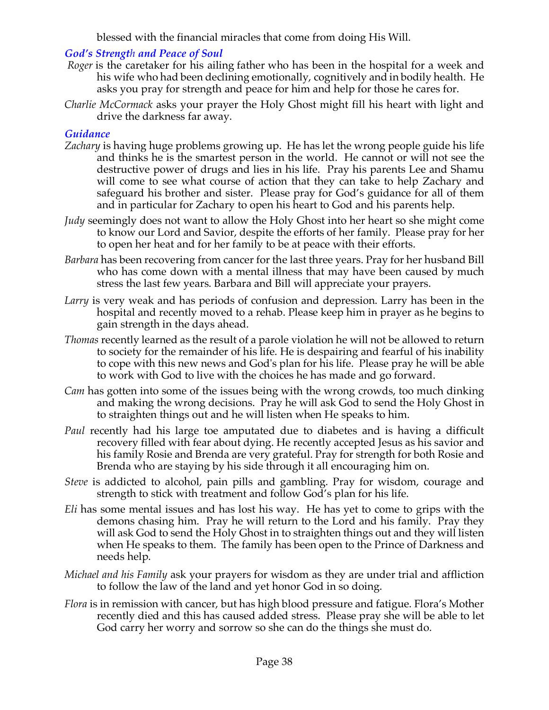blessed with the financial miracles that come from doing His Will.

# *God's Strength and Peace of Soul*

- *Roger* is the caretaker for his ailing father who has been in the hospital for a week and his wife who had been declining emotionally, cognitively and in bodily health. He asks you pray for strength and peace for him and help for those he cares for.
- *Charlie McCormack* asks your prayer the Holy Ghost might fill his heart with light and drive the darkness far away.

# *Guidance*

- *Zachary* is having huge problems growing up. He has let the wrong people guide his life and thinks he is the smartest person in the world. He cannot or will not see the destructive power of drugs and lies in his life. Pray his parents Lee and Shamu will come to see what course of action that they can take to help Zachary and safeguard his brother and sister. Please pray for God's guidance for all of them and in particular for Zachary to open his heart to God and his parents help.
- *Judy* seemingly does not want to allow the Holy Ghost into her heart so she might come to know our Lord and Savior, despite the efforts of her family. Please pray for her to open her heat and for her family to be at peace with their efforts.
- *Barbara* has been recovering from cancer for the last three years. Pray for her husband Bill who has come down with a mental illness that may have been caused by much stress the last few years. Barbara and Bill will appreciate your prayers.
- *Larry* is very weak and has periods of confusion and depression. Larry has been in the hospital and recently moved to a rehab. Please keep him in prayer as he begins to gain strength in the days ahead.
- *Thomas* recently learned as the result of a parole violation he will not be allowed to return to society for the remainder of his life. He is despairing and fearful of his inability to cope with this new news and God's plan for his life. Please pray he will be able to work with God to live with the choices he has made and go forward.
- *Cam* has gotten into some of the issues being with the wrong crowds, too much dinking and making the wrong decisions. Pray he will ask God to send the Holy Ghost in to straighten things out and he will listen when He speaks to him.
- *Paul* recently had his large toe amputated due to diabetes and is having a difficult recovery filled with fear about dying. He recently accepted Jesus as his savior and his family Rosie and Brenda are very grateful. Pray for strength for both Rosie and Brenda who are staying by his side through it all encouraging him on.
- *Steve* is addicted to alcohol, pain pills and gambling. Pray for wisdom, courage and strength to stick with treatment and follow God's plan for his life.
- *Eli* has some mental issues and has lost his way. He has yet to come to grips with the demons chasing him. Pray he will return to the Lord and his family. Pray they will ask God to send the Holy Ghost in to straighten things out and they will listen when He speaks to them. The family has been open to the Prince of Darkness and needs help.
- *Michael and his Family* ask your prayers for wisdom as they are under trial and affliction to follow the law of the land and yet honor God in so doing.
- *Flora* is in remission with cancer, but has high blood pressure and fatigue. Flora's Mother recently died and this has caused added stress. Please pray she will be able to let God carry her worry and sorrow so she can do the things she must do.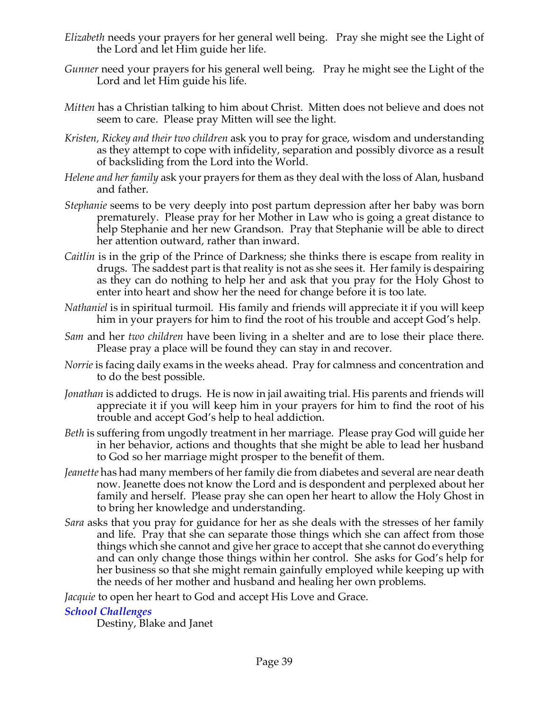- *Elizabeth* needs your prayers for her general well being. Pray she might see the Light of the Lord and let Him guide her life.
- *Gunner* need your prayers for his general well being. Pray he might see the Light of the Lord and let Him guide his life.
- *Mitten* has a Christian talking to him about Christ. Mitten does not believe and does not seem to care. Please pray Mitten will see the light.
- *Kristen, Rickey and their two children* ask you to pray for grace, wisdom and understanding as they attempt to cope with infidelity, separation and possibly divorce as a result of backsliding from the Lord into the World.
- *Helene and her family* ask your prayers for them as they deal with the loss of Alan, husband and father.
- *Stephanie* seems to be very deeply into post partum depression after her baby was born prematurely. Please pray for her Mother in Law who is going a great distance to help Stephanie and her new Grandson. Pray that Stephanie will be able to direct her attention outward, rather than inward.
- *Caitlin* is in the grip of the Prince of Darkness; she thinks there is escape from reality in drugs. The saddest part is that reality is not as she sees it. Her family is despairing as they can do nothing to help her and ask that you pray for the Holy Ghost to enter into heart and show her the need for change before it is too late.
- *Nathaniel* is in spiritual turmoil. His family and friends will appreciate it if you will keep him in your prayers for him to find the root of his trouble and accept God's help.
- *Sam* and her *two children* have been living in a shelter and are to lose their place there. Please pray a place will be found they can stay in and recover.
- *Norrie* is facing daily exams in the weeks ahead. Pray for calmness and concentration and to do the best possible.
- *Jonathan* is addicted to drugs. He is now in jail awaiting trial. His parents and friends will appreciate it if you will keep him in your prayers for him to find the root of his trouble and accept God's help to heal addiction.
- *Beth* is suffering from ungodly treatment in her marriage. Please pray God will guide her in her behavior, actions and thoughts that she might be able to lead her husband to God so her marriage might prosper to the benefit of them.
- *Jeanette* has had many members of her family die from diabetes and several are near death now. Jeanette does not know the Lord and is despondent and perplexed about her family and herself. Please pray she can open her heart to allow the Holy Ghost in to bring her knowledge and understanding.
- *Sara* asks that you pray for guidance for her as she deals with the stresses of her family and life. Pray that she can separate those things which she can affect from those things which she cannot and give her grace to accept that she cannot do everything and can only change those things within her control. She asks for God's help for her business so that she might remain gainfully employed while keeping up with the needs of her mother and husband and healing her own problems.

*Jacquie* to open her heart to God and accept His Love and Grace.

## *School Challenges*

Destiny, Blake and Janet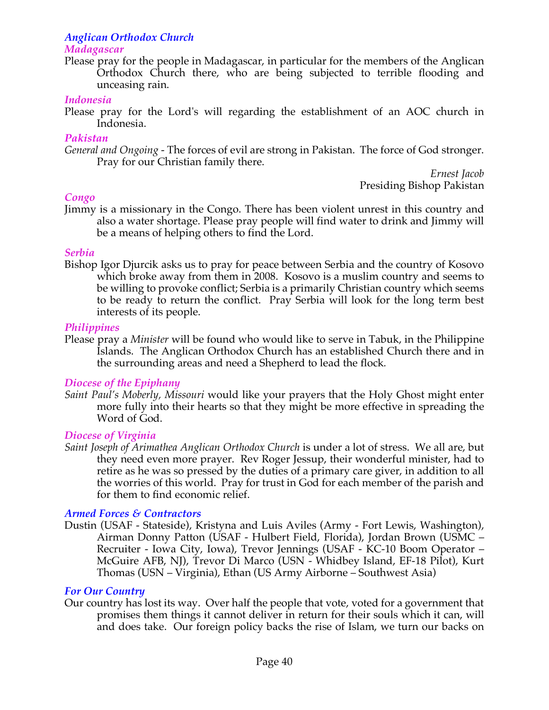# *Anglican Orthodox Church*

#### *Madagascar*

Please pray for the people in Madagascar, in particular for the members of the Anglican Orthodox Church there, who are being subjected to terrible flooding and unceasing rain.

#### *Indonesia*

Please pray for the Lord's will regarding the establishment of an AOC church in Indonesia.

#### *Pakistan*

*General and Ongoing -* The forces of evil are strong in Pakistan. The force of God stronger. Pray for our Christian family there.

> *Ernest Jacob* Presiding Bishop Pakistan

## *Congo*

Jimmy is a missionary in the Congo. There has been violent unrest in this country and also a water shortage. Please pray people will find water to drink and Jimmy will be a means of helping others to find the Lord.

## *Serbia*

Bishop Igor Djurcik asks us to pray for peace between Serbia and the country of Kosovo which broke away from them in 2008. Kosovo is a muslim country and seems to be willing to provoke conflict; Serbia is a primarily Christian country which seems to be ready to return the conflict. Pray Serbia will look for the long term best interests of its people.

## *Philippines*

Please pray a *Minister* will be found who would like to serve in Tabuk, in the Philippine Islands. The Anglican Orthodox Church has an established Church there and in the surrounding areas and need a Shepherd to lead the flock*.*

## *Diocese of the Epiphany*

*Saint Paul's Moberly, Missouri* would like your prayers that the Holy Ghost might enter more fully into their hearts so that they might be more effective in spreading the Word of God.

## *Diocese of Virginia*

*Saint Joseph of Arimathea Anglican Orthodox Church* is under a lot of stress. We all are, but they need even more prayer. Rev Roger Jessup, their wonderful minister, had to retire as he was so pressed by the duties of a primary care giver, in addition to all the worries of this world. Pray for trust in God for each member of the parish and for them to find economic relief.

## *Armed Forces & Contractors*

Dustin (USAF - Stateside), Kristyna and Luis Aviles (Army - Fort Lewis, Washington), Airman Donny Patton (USAF - Hulbert Field, Florida), Jordan Brown (USMC – Recruiter - Iowa City, Iowa), Trevor Jennings (USAF - KC-10 Boom Operator – McGuire AFB, NJ), Trevor Di Marco (USN - Whidbey Island, EF-18 Pilot), Kurt Thomas (USN – Virginia), Ethan (US Army Airborne – Southwest Asia)

## *For Our Country*

Our country has lost its way. Over half the people that vote, voted for a government that promises them things it cannot deliver in return for their souls which it can, will and does take. Our foreign policy backs the rise of Islam, we turn our backs on